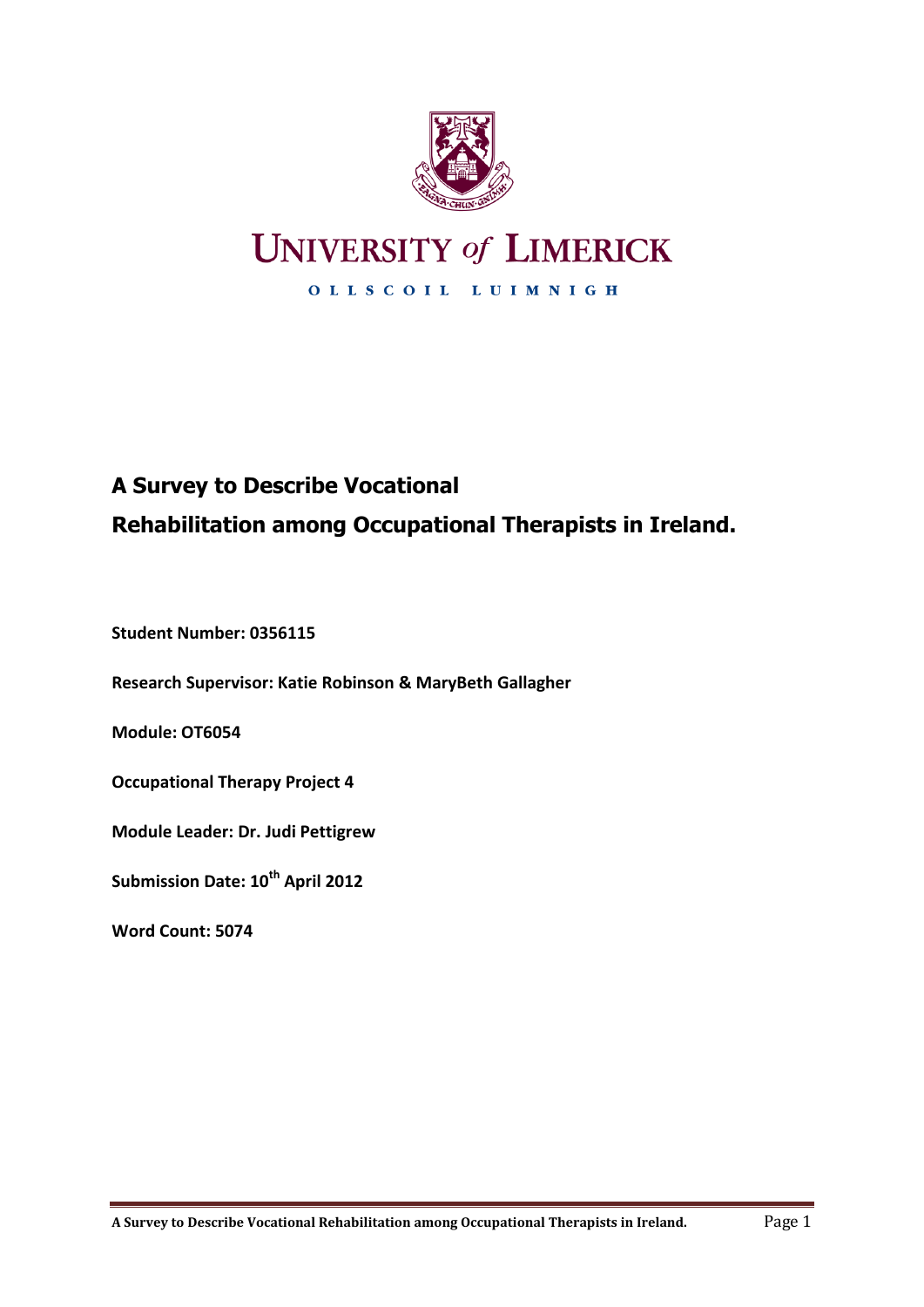

# **UNIVERSITY of LIMERICK**

OLLSCOIL LUIMNIGH

## **A Survey to Describe Vocational Rehabilitation among Occupational Therapists in Ireland.**

**Student Number: 0356115**

**Research Supervisor: Katie Robinson & MaryBeth Gallagher**

**Module: OT6054**

**Occupational Therapy Project 4**

**Module Leader: Dr. Judi Pettigrew**

**Submission Date: 10th April 2012**

**Word Count: 5074**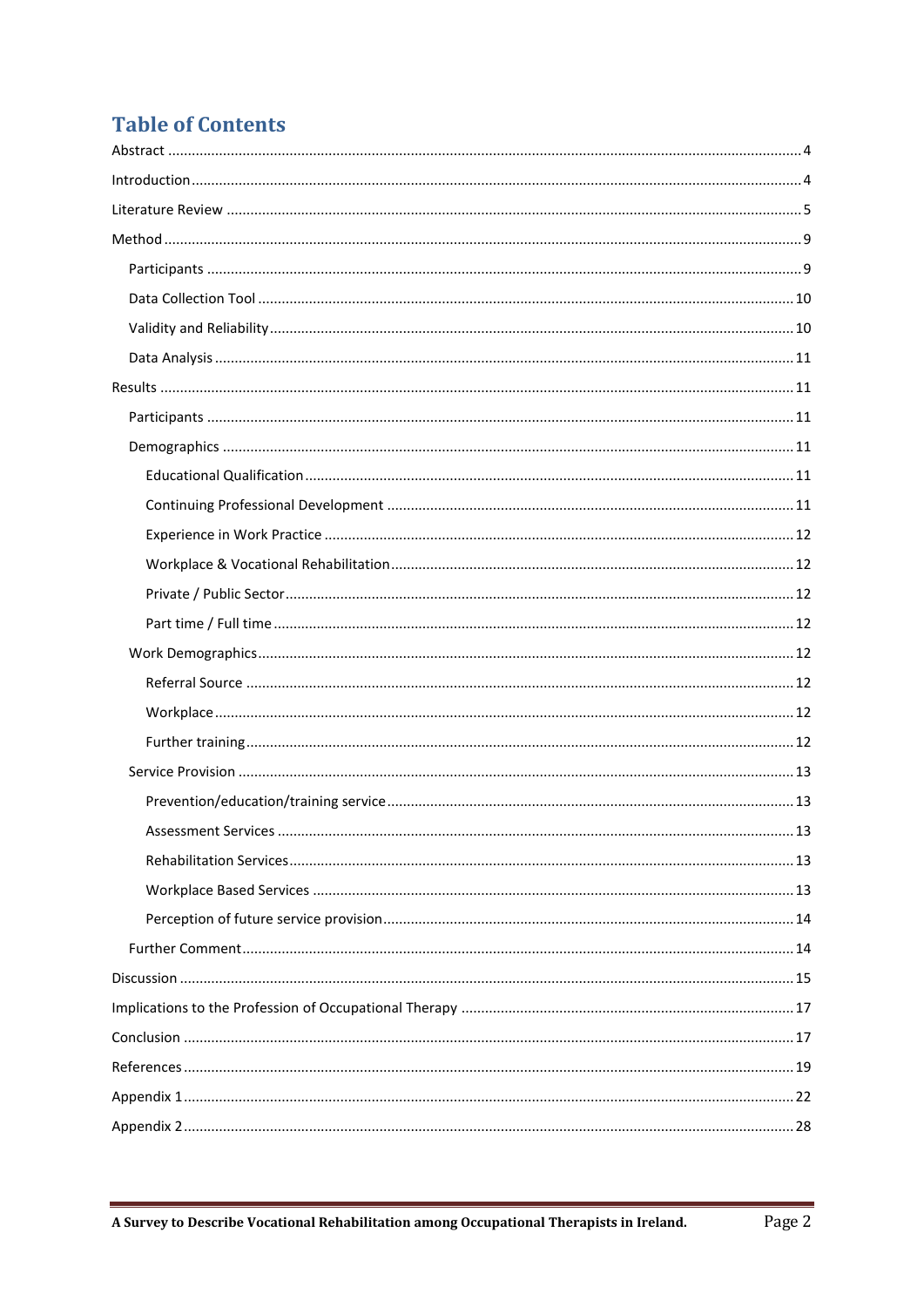## **Table of Contents**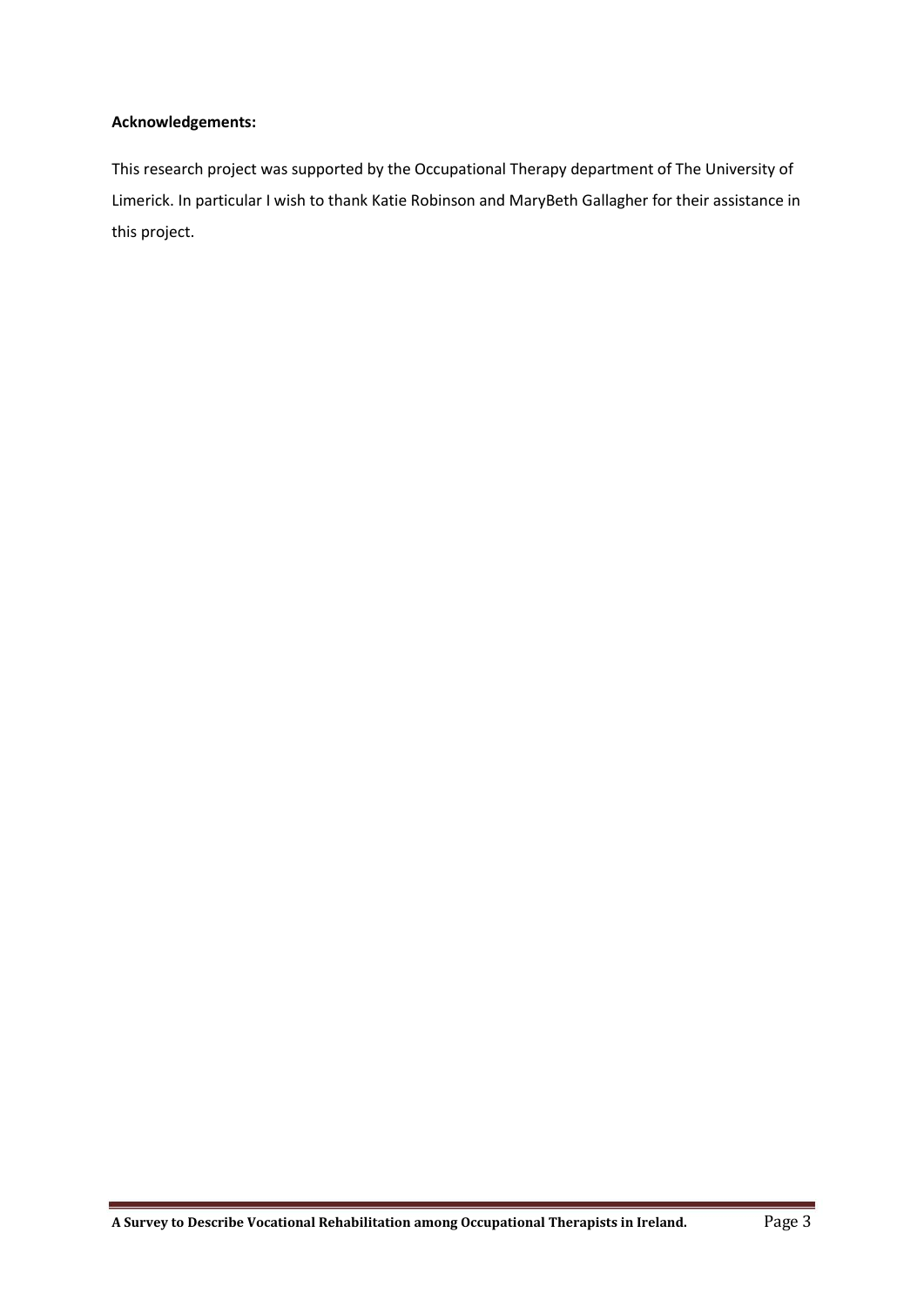#### **Acknowledgements:**

This research project was supported by the Occupational Therapy department of The University of Limerick. In particular I wish to thank Katie Robinson and MaryBeth Gallagher for their assistance in this project.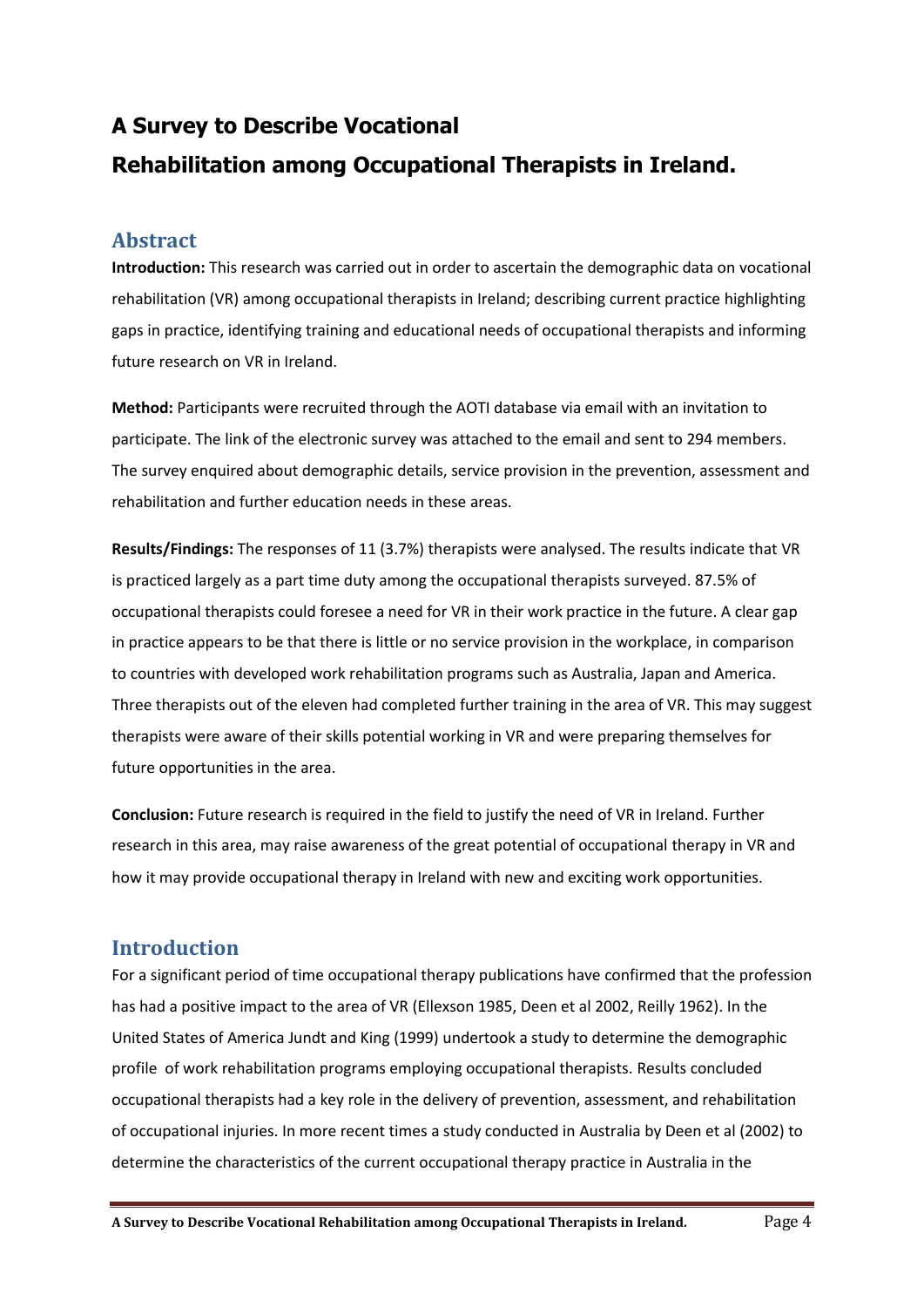## **A Survey to Describe Vocational Rehabilitation among Occupational Therapists in Ireland.**

## <span id="page-3-0"></span>**Abstract**

**Introduction:** This research was carried out in order to ascertain the demographic data on vocational rehabilitation (VR) among occupational therapists in Ireland; describing current practice highlighting gaps in practice, identifying training and educational needs of occupational therapists and informing future research on VR in Ireland.

**Method:** Participants were recruited through the AOTI database via email with an invitation to participate. The link of the electronic survey was attached to the email and sent to 294 members. The survey enquired about demographic details, service provision in the prevention, assessment and rehabilitation and further education needs in these areas.

**Results/Findings:** The responses of 11 (3.7%) therapists were analysed. The results indicate that VR is practiced largely as a part time duty among the occupational therapists surveyed. 87.5% of occupational therapists could foresee a need for VR in their work practice in the future. A clear gap in practice appears to be that there is little or no service provision in the workplace, in comparison to countries with developed work rehabilitation programs such as Australia, Japan and America. Three therapists out of the eleven had completed further training in the area of VR. This may suggest therapists were aware of their skills potential working in VR and were preparing themselves for future opportunities in the area.

**Conclusion:** Future research is required in the field to justify the need of VR in Ireland. Further research in this area, may raise awareness of the great potential of occupational therapy in VR and how it may provide occupational therapy in Ireland with new and exciting work opportunities.

## <span id="page-3-1"></span>**Introduction**

For a significant period of time occupational therapy publications have confirmed that the profession has had a positive impact to the area of VR (Ellexson 1985, Deen et al 2002, Reilly 1962). In the United States of America Jundt and King (1999) undertook a study to determine the demographic profile of work rehabilitation programs employing occupational therapists. Results concluded occupational therapists had a key role in the delivery of prevention, assessment, and rehabilitation of occupational injuries. In more recent times a study conducted in Australia by Deen et al (2002) to determine the characteristics of the current occupational therapy practice in Australia in the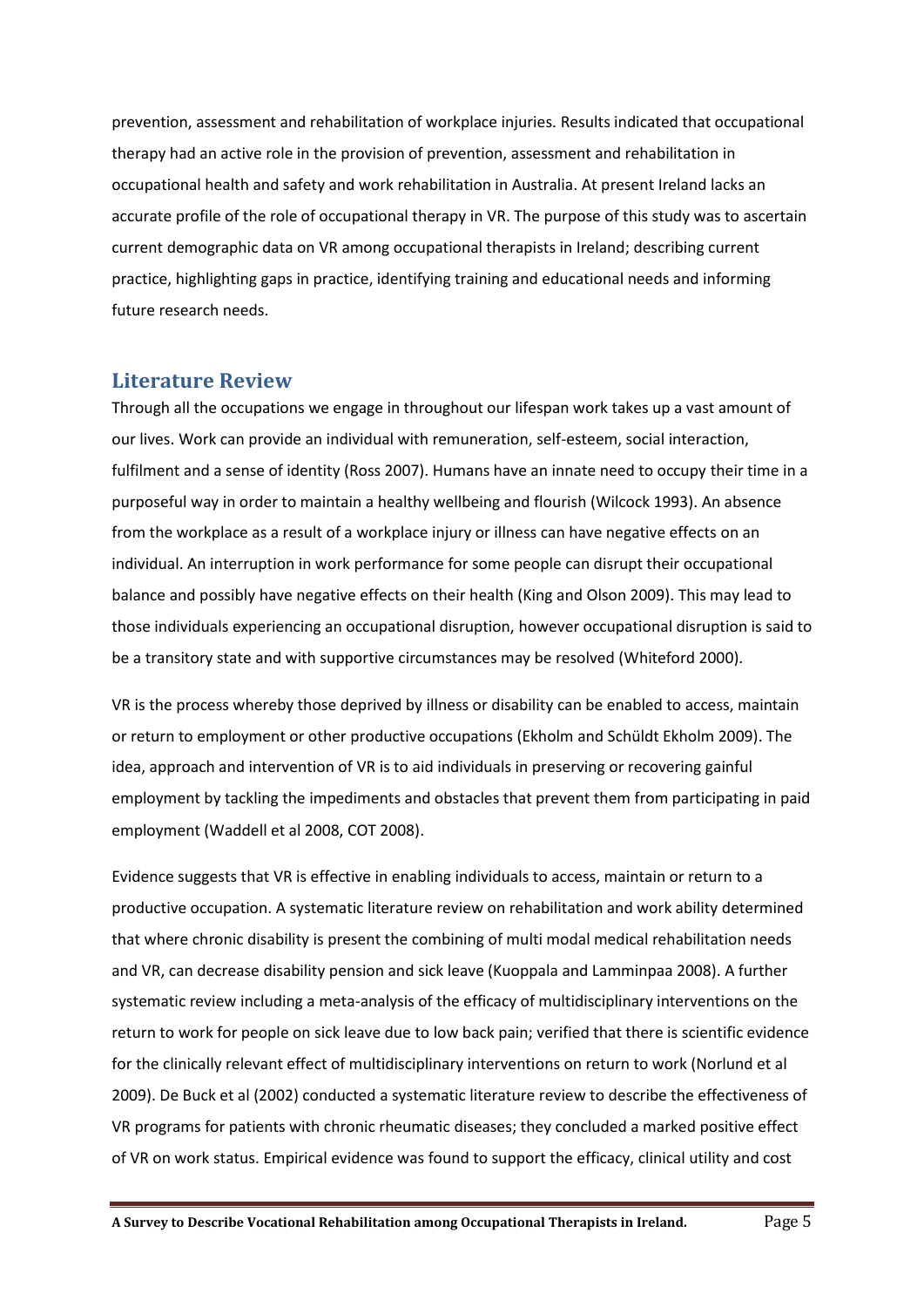prevention, assessment and rehabilitation of workplace injuries. Results indicated that occupational therapy had an active role in the provision of prevention, assessment and rehabilitation in occupational health and safety and work rehabilitation in Australia. At present Ireland lacks an accurate profile of the role of occupational therapy in VR. The purpose of this study was to ascertain current demographic data on VR among occupational therapists in Ireland; describing current practice, highlighting gaps in practice, identifying training and educational needs and informing future research needs.

## <span id="page-4-0"></span>**Literature Review**

Through all the occupations we engage in throughout our lifespan work takes up a vast amount of our lives. Work can provide an individual with remuneration, self-esteem, social interaction, fulfilment and a sense of identity (Ross 2007). Humans have an innate need to occupy their time in a purposeful way in order to maintain a healthy wellbeing and flourish (Wilcock 1993). An absence from the workplace as a result of a workplace injury or illness can have negative effects on an individual. An interruption in work performance for some people can disrupt their occupational balance and possibly have negative effects on their health (King and Olson 2009). This may lead to those individuals experiencing an occupational disruption, however occupational disruption is said to be a transitory state and with supportive circumstances may be resolved (Whiteford 2000).

VR is the process whereby those deprived by illness or disability can be enabled to access, maintain or return to employment or other productive occupations (Ekholm and Schüldt Ekholm 2009). The idea, approach and intervention of VR is to aid individuals in preserving or recovering gainful employment by tackling the impediments and obstacles that prevent them from participating in paid employment (Waddell et al 2008, COT 2008).

Evidence suggests that VR is effective in enabling individuals to access, maintain or return to a productive occupation. A systematic literature review on rehabilitation and work ability determined that where chronic disability is present the combining of multi modal medical rehabilitation needs and VR, can decrease disability pension and sick leave (Kuoppala and Lamminpaa 2008). A further systematic review including a meta-analysis of the efficacy of multidisciplinary interventions on the return to work for people on sick leave due to low back pain; verified that there is scientific evidence for the clinically relevant effect of multidisciplinary interventions on return to work (Norlund et al 2009). De Buck et al (2002) conducted a systematic literature review to describe the effectiveness of VR programs for patients with chronic rheumatic diseases; they concluded a marked positive effect of VR on work status. Empirical evidence was found to support the efficacy, clinical utility and cost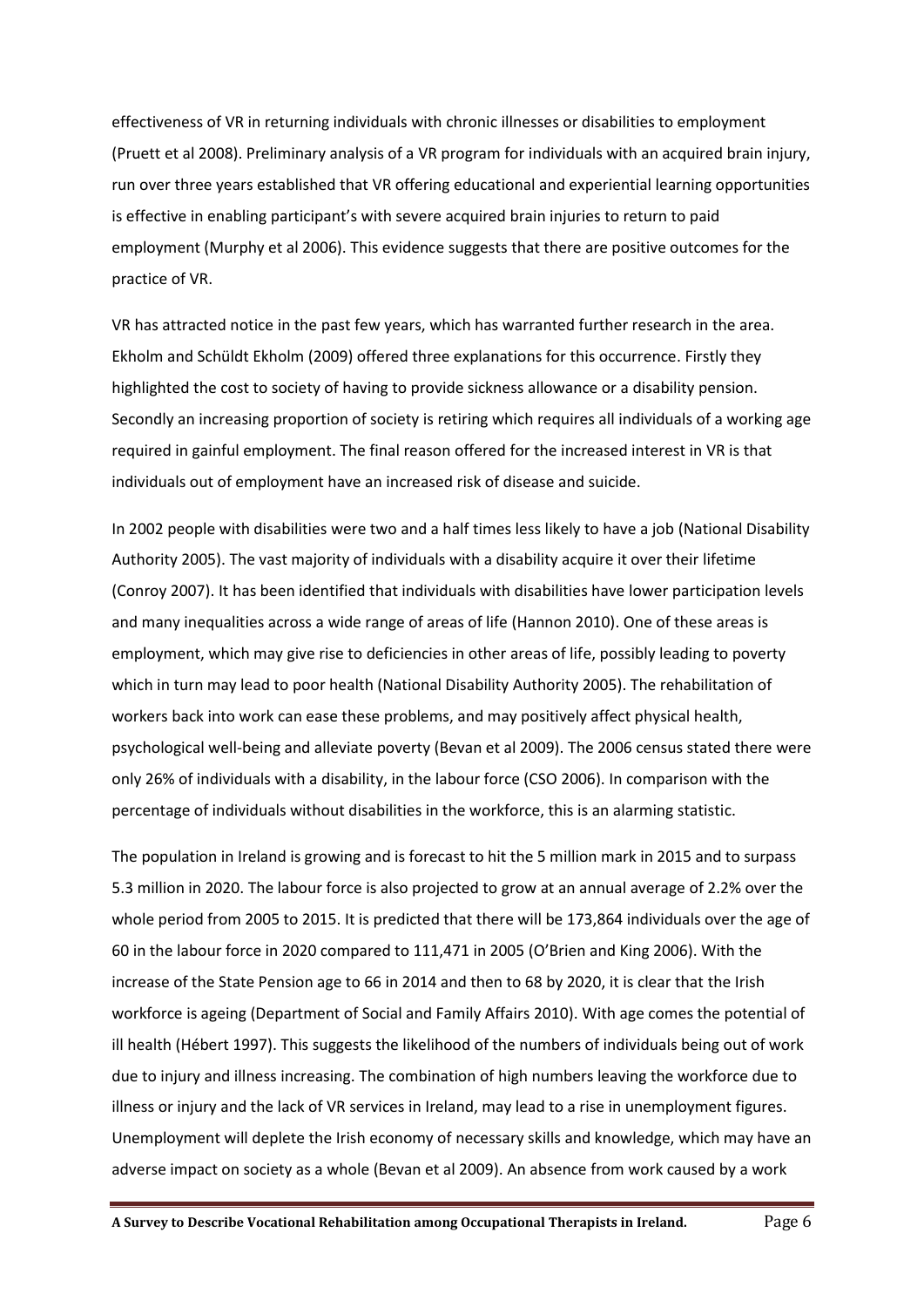effectiveness of VR in returning individuals with chronic illnesses or disabilities to employment (Pruett et al 2008). Preliminary analysis of a VR program for individuals with an acquired brain injury, run over three years established that VR offering educational and experiential learning opportunities is effective in enabling participant's with severe acquired brain injuries to return to paid employment (Murphy et al 2006). This evidence suggests that there are positive outcomes for the practice of VR.

VR has attracted notice in the past few years, which has warranted further research in the area. Ekholm and Schüldt Ekholm (2009) offered three explanations for this occurrence. Firstly they highlighted the cost to society of having to provide sickness allowance or a disability pension. Secondly an increasing proportion of society is retiring which requires all individuals of a working age required in gainful employment. The final reason offered for the increased interest in VR is that individuals out of employment have an increased risk of disease and suicide.

In 2002 people with disabilities were two and a half times less likely to have a job (National Disability Authority 2005). The vast majority of individuals with a disability acquire it over their lifetime (Conroy 2007). It has been identified that individuals with disabilities have lower participation levels and many inequalities across a wide range of areas of life (Hannon 2010). One of these areas is employment, which may give rise to deficiencies in other areas of life, possibly leading to poverty which in turn may lead to poor health (National Disability Authority 2005). The rehabilitation of workers back into work can ease these problems, and may positively affect physical health, psychological well-being and alleviate poverty (Bevan et al 2009). The 2006 census stated there were only 26% of individuals with a disability, in the labour force (CSO 2006). In comparison with the percentage of individuals without disabilities in the workforce, this is an alarming statistic.

The population in Ireland is growing and is forecast to hit the 5 million mark in 2015 and to surpass 5.3 million in 2020. The labour force is also projected to grow at an annual average of 2.2% over the whole period from 2005 to 2015. It is predicted that there will be 173,864 individuals over the age of 60 in the labour force in 2020 compared to 111,471 in 2005 (O'Brien and King 2006). With the increase of the State Pension age to 66 in 2014 and then to 68 by 2020, it is clear that the Irish workforce is ageing (Department of Social and Family Affairs 2010). With age comes the potential of ill health (Hébert 1997). This suggests the likelihood of the numbers of individuals being out of work due to injury and illness increasing. The combination of high numbers leaving the workforce due to illness or injury and the lack of VR services in Ireland, may lead to a rise in unemployment figures. Unemployment will deplete the Irish economy of necessary skills and knowledge, which may have an adverse impact on society as a whole (Bevan et al 2009). An absence from work caused by a work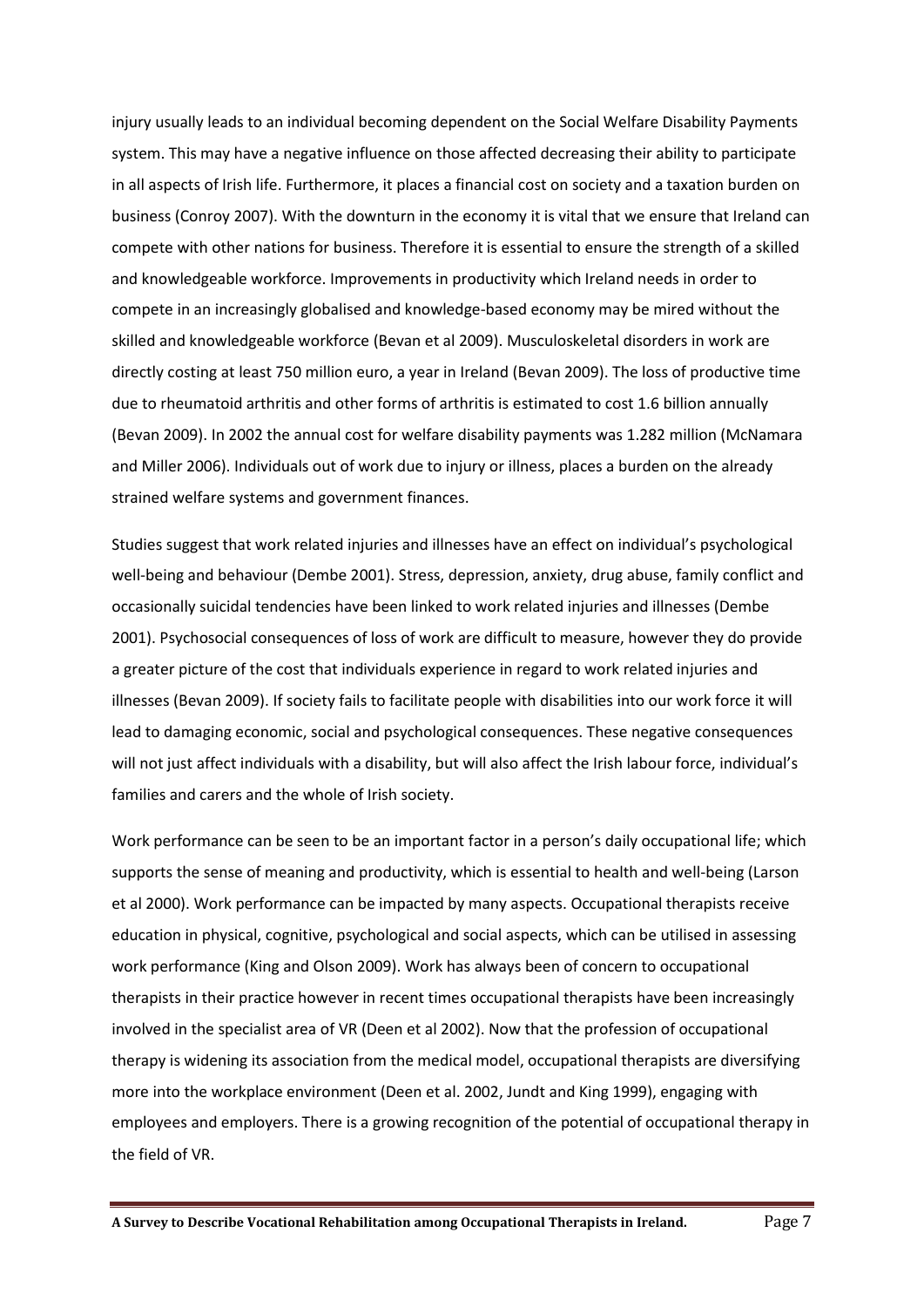injury usually leads to an individual becoming dependent on the Social Welfare Disability Payments system. This may have a negative influence on those affected decreasing their ability to participate in all aspects of Irish life. Furthermore, it places a financial cost on society and a taxation burden on business (Conroy 2007). With the downturn in the economy it is vital that we ensure that Ireland can compete with other nations for business. Therefore it is essential to ensure the strength of a skilled and knowledgeable workforce. Improvements in productivity which Ireland needs in order to compete in an increasingly globalised and knowledge-based economy may be mired without the skilled and knowledgeable workforce (Bevan et al 2009). Musculoskeletal disorders in work are directly costing at least 750 million euro, a year in Ireland (Bevan 2009). The loss of productive time due to rheumatoid arthritis and other forms of arthritis is estimated to cost 1.6 billion annually (Bevan 2009). In 2002 the annual cost for welfare disability payments was 1.282 million (McNamara and Miller 2006). Individuals out of work due to injury or illness, places a burden on the already strained welfare systems and government finances.

Studies suggest that work related injuries and illnesses have an effect on individual's psychological well-being and behaviour (Dembe 2001). Stress, depression, anxiety, drug abuse, family conflict and occasionally suicidal tendencies have been linked to work related injuries and illnesses (Dembe 2001). Psychosocial consequences of loss of work are difficult to measure, however they do provide a greater picture of the cost that individuals experience in regard to work related injuries and illnesses (Bevan 2009). If society fails to facilitate people with disabilities into our work force it will lead to damaging economic, social and psychological consequences. These negative consequences will not just affect individuals with a disability, but will also affect the Irish labour force, individual's families and carers and the whole of Irish society.

Work performance can be seen to be an important factor in a person's daily occupational life; which supports the sense of meaning and productivity, which is essential to health and well-being (Larson et al 2000). Work performance can be impacted by many aspects. Occupational therapists receive education in physical, cognitive, psychological and social aspects, which can be utilised in assessing work performance (King and Olson 2009). Work has always been of concern to occupational therapists in their practice however in recent times occupational therapists have been increasingly involved in the specialist area of VR (Deen et al 2002). Now that the profession of occupational therapy is widening its association from the medical model, occupational therapists are diversifying more into the workplace environment (Deen et al. 2002, Jundt and King 1999), engaging with employees and employers. There is a growing recognition of the potential of occupational therapy in the field of VR.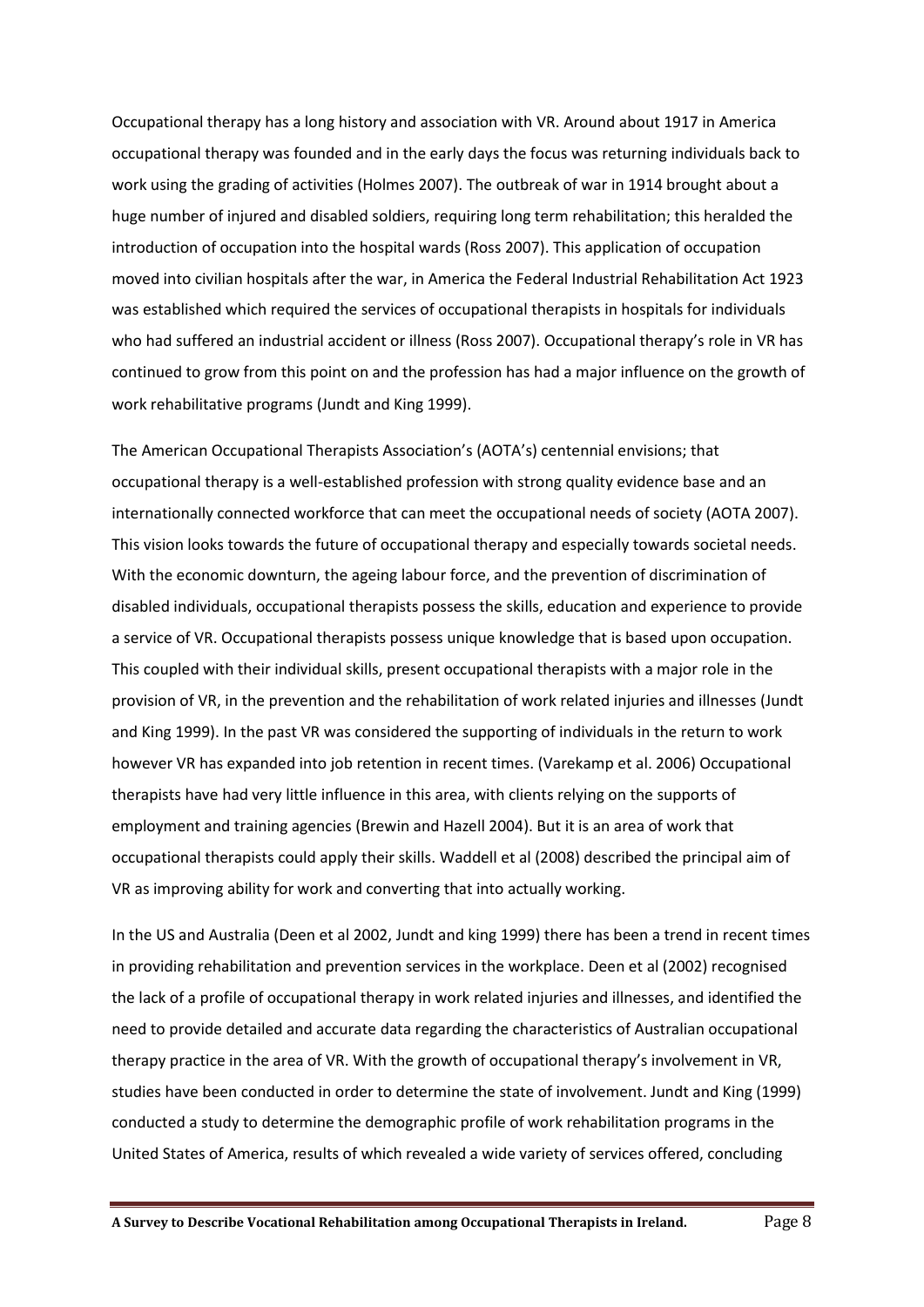Occupational therapy has a long history and association with VR. Around about 1917 in America occupational therapy was founded and in the early days the focus was returning individuals back to work using the grading of activities (Holmes 2007). The outbreak of war in 1914 brought about a huge number of injured and disabled soldiers, requiring long term rehabilitation; this heralded the introduction of occupation into the hospital wards (Ross 2007). This application of occupation moved into civilian hospitals after the war, in America the Federal Industrial Rehabilitation Act 1923 was established which required the services of occupational therapists in hospitals for individuals who had suffered an industrial accident or illness (Ross 2007). Occupational therapy's role in VR has continued to grow from this point on and the profession has had a major influence on the growth of work rehabilitative programs (Jundt and King 1999).

The American Occupational Therapists Association's (AOTA's) centennial envisions; that occupational therapy is a well-established profession with strong quality evidence base and an internationally connected workforce that can meet the occupational needs of society (AOTA 2007). This vision looks towards the future of occupational therapy and especially towards societal needs. With the economic downturn, the ageing labour force, and the prevention of discrimination of disabled individuals, occupational therapists possess the skills, education and experience to provide a service of VR. Occupational therapists possess unique knowledge that is based upon occupation. This coupled with their individual skills, present occupational therapists with a major role in the provision of VR, in the prevention and the rehabilitation of work related injuries and illnesses (Jundt and King 1999). In the past VR was considered the supporting of individuals in the return to work however VR has expanded into job retention in recent times. (Varekamp et al. 2006) Occupational therapists have had very little influence in this area, with clients relying on the supports of employment and training agencies (Brewin and Hazell 2004). But it is an area of work that occupational therapists could apply their skills. Waddell et al (2008) described the principal aim of VR as improving ability for work and converting that into actually working.

In the US and Australia (Deen et al 2002, Jundt and king 1999) there has been a trend in recent times in providing rehabilitation and prevention services in the workplace. Deen et al (2002) recognised the lack of a profile of occupational therapy in work related injuries and illnesses, and identified the need to provide detailed and accurate data regarding the characteristics of Australian occupational therapy practice in the area of VR. With the growth of occupational therapy's involvement in VR, studies have been conducted in order to determine the state of involvement. Jundt and King (1999) conducted a study to determine the demographic profile of work rehabilitation programs in the United States of America, results of which revealed a wide variety of services offered, concluding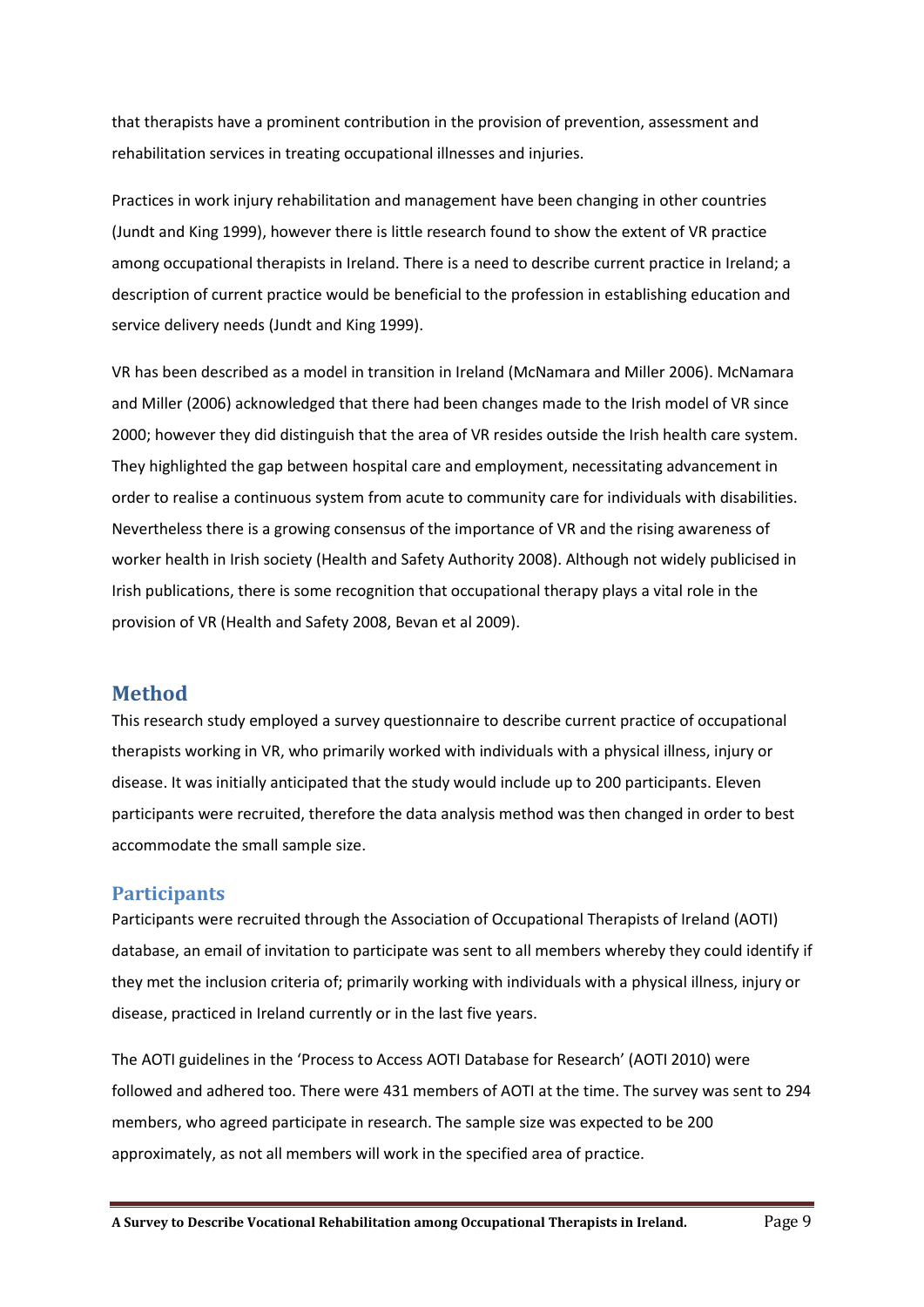that therapists have a prominent contribution in the provision of prevention, assessment and rehabilitation services in treating occupational illnesses and injuries.

Practices in work injury rehabilitation and management have been changing in other countries (Jundt and King 1999), however there is little research found to show the extent of VR practice among occupational therapists in Ireland. There is a need to describe current practice in Ireland; a description of current practice would be beneficial to the profession in establishing education and service delivery needs (Jundt and King 1999).

VR has been described as a model in transition in Ireland (McNamara and Miller 2006). McNamara and Miller (2006) acknowledged that there had been changes made to the Irish model of VR since 2000; however they did distinguish that the area of VR resides outside the Irish health care system. They highlighted the gap between hospital care and employment, necessitating advancement in order to realise a continuous system from acute to community care for individuals with disabilities. Nevertheless there is a growing consensus of the importance of VR and the rising awareness of worker health in Irish society (Health and Safety Authority 2008). Although not widely publicised in Irish publications, there is some recognition that occupational therapy plays a vital role in the provision of VR (Health and Safety 2008, Bevan et al 2009).

## <span id="page-8-0"></span>**Method**

This research study employed a survey questionnaire to describe current practice of occupational therapists working in VR, who primarily worked with individuals with a physical illness, injury or disease. It was initially anticipated that the study would include up to 200 participants. Eleven participants were recruited, therefore the data analysis method was then changed in order to best accommodate the small sample size.

#### <span id="page-8-1"></span>**Participants**

Participants were recruited through the Association of Occupational Therapists of Ireland (AOTI) database, an email of invitation to participate was sent to all members whereby they could identify if they met the inclusion criteria of; primarily working with individuals with a physical illness, injury or disease, practiced in Ireland currently or in the last five years.

The AOTI guidelines in the 'Process to Access AOTI Database for Research' (AOTI 2010) were followed and adhered too. There were 431 members of AOTI at the time. The survey was sent to 294 members, who agreed participate in research. The sample size was expected to be 200 approximately, as not all members will work in the specified area of practice.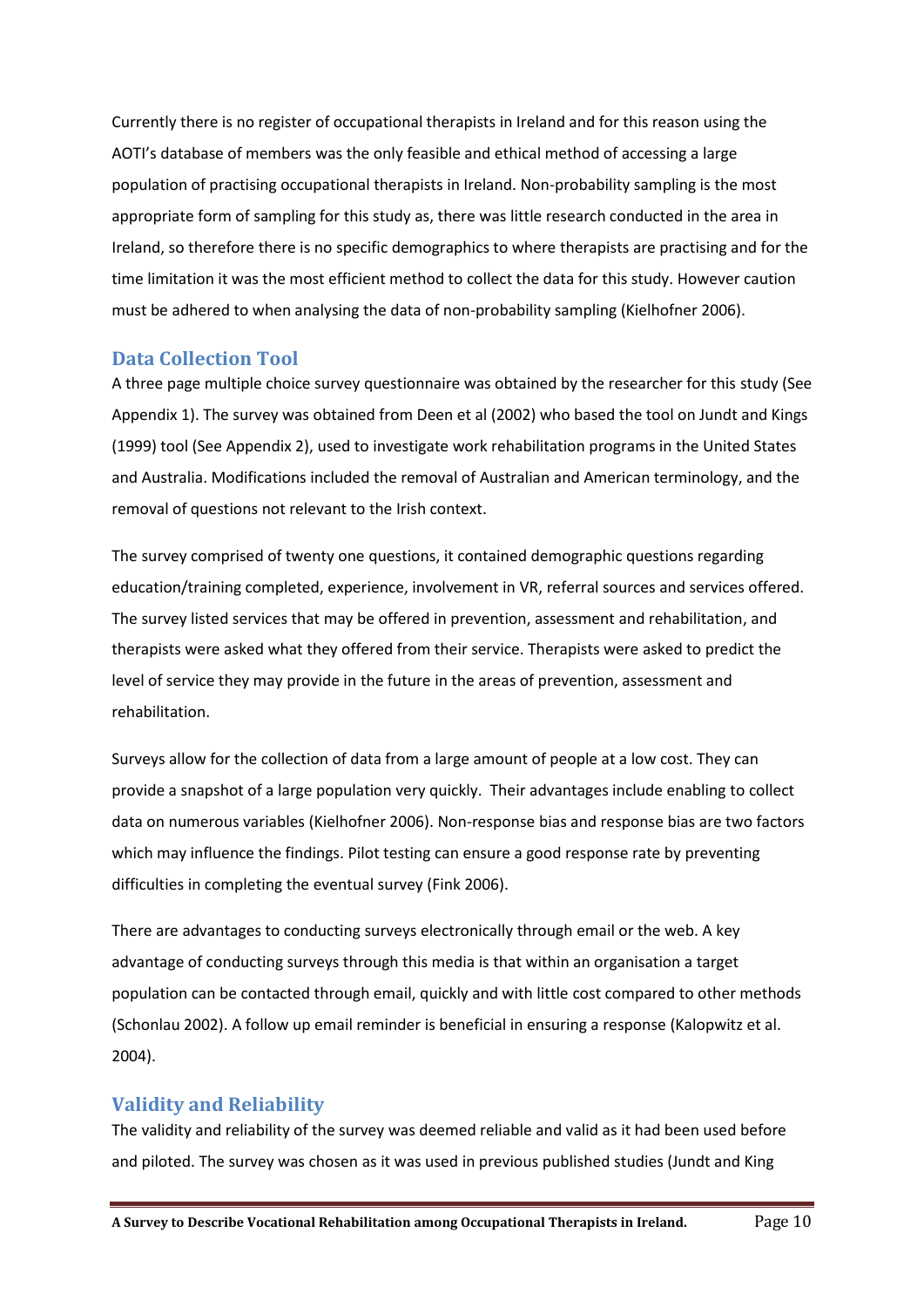Currently there is no register of occupational therapists in Ireland and for this reason using the AOTI's database of members was the only feasible and ethical method of accessing a large population of practising occupational therapists in Ireland. Non-probability sampling is the most appropriate form of sampling for this study as, there was little research conducted in the area in Ireland, so therefore there is no specific demographics to where therapists are practising and for the time limitation it was the most efficient method to collect the data for this study. However caution must be adhered to when analysing the data of non-probability sampling (Kielhofner 2006).

#### <span id="page-9-0"></span>**Data Collection Tool**

A three page multiple choice survey questionnaire was obtained by the researcher for this study (See Appendix 1). The survey was obtained from Deen et al (2002) who based the tool on Jundt and Kings (1999) tool (See Appendix 2), used to investigate work rehabilitation programs in the United States and Australia. Modifications included the removal of Australian and American terminology, and the removal of questions not relevant to the Irish context.

The survey comprised of twenty one questions, it contained demographic questions regarding education/training completed, experience, involvement in VR, referral sources and services offered. The survey listed services that may be offered in prevention, assessment and rehabilitation, and therapists were asked what they offered from their service. Therapists were asked to predict the level of service they may provide in the future in the areas of prevention, assessment and rehabilitation.

Surveys allow for the collection of data from a large amount of people at a low cost. They can provide a snapshot of a large population very quickly. Their advantages include enabling to collect data on numerous variables (Kielhofner 2006). Non-response bias and response bias are two factors which may influence the findings. Pilot testing can ensure a good response rate by preventing difficulties in completing the eventual survey (Fink 2006).

There are advantages to conducting surveys electronically through email or the web. A key advantage of conducting surveys through this media is that within an organisation a target population can be contacted through email, quickly and with little cost compared to other methods (Schonlau 2002). A follow up email reminder is beneficial in ensuring a response (Kalopwitz et al. 2004).

## <span id="page-9-1"></span>**Validity and Reliability**

The validity and reliability of the survey was deemed reliable and valid as it had been used before and piloted. The survey was chosen as it was used in previous published studies (Jundt and King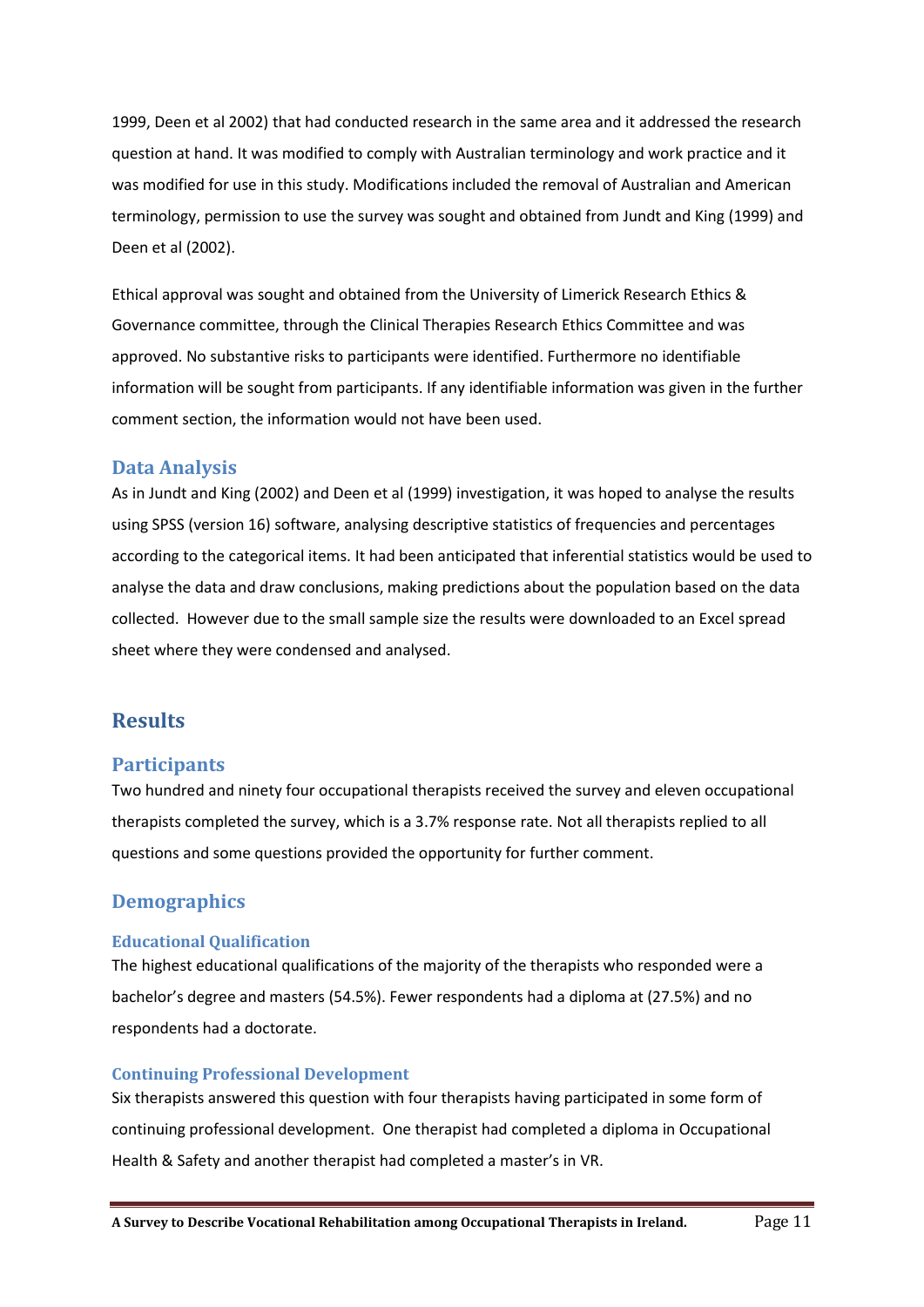1999, Deen et al 2002) that had conducted research in the same area and it addressed the research question at hand. It was modified to comply with Australian terminology and work practice and it was modified for use in this study. Modifications included the removal of Australian and American terminology, permission to use the survey was sought and obtained from Jundt and King (1999) and Deen et al (2002).

Ethical approval was sought and obtained from the University of Limerick Research Ethics & Governance committee, through the Clinical Therapies Research Ethics Committee and was approved. No substantive risks to participants were identified. Furthermore no identifiable information will be sought from participants. If any identifiable information was given in the further comment section, the information would not have been used.

#### <span id="page-10-0"></span>**Data Analysis**

As in Jundt and King (2002) and Deen et al (1999) investigation, it was hoped to analyse the results using SPSS (version 16) software, analysing descriptive statistics of frequencies and percentages according to the categorical items. It had been anticipated that inferential statistics would be used to analyse the data and draw conclusions, making predictions about the population based on the data collected. However due to the small sample size the results were downloaded to an Excel spread sheet where they were condensed and analysed.

## <span id="page-10-1"></span>**Results**

#### <span id="page-10-2"></span>**Participants**

Two hundred and ninety four occupational therapists received the survey and eleven occupational therapists completed the survey, which is a 3.7% response rate. Not all therapists replied to all questions and some questions provided the opportunity for further comment.

#### <span id="page-10-3"></span>**Demographics**

#### <span id="page-10-4"></span>**Educational Qualification**

The highest educational qualifications of the majority of the therapists who responded were a bachelor's degree and masters (54.5%). Fewer respondents had a diploma at (27.5%) and no respondents had a doctorate.

#### <span id="page-10-5"></span>**Continuing Professional Development**

Six therapists answered this question with four therapists having participated in some form of continuing professional development. One therapist had completed a diploma in Occupational Health & Safety and another therapist had completed a master's in VR.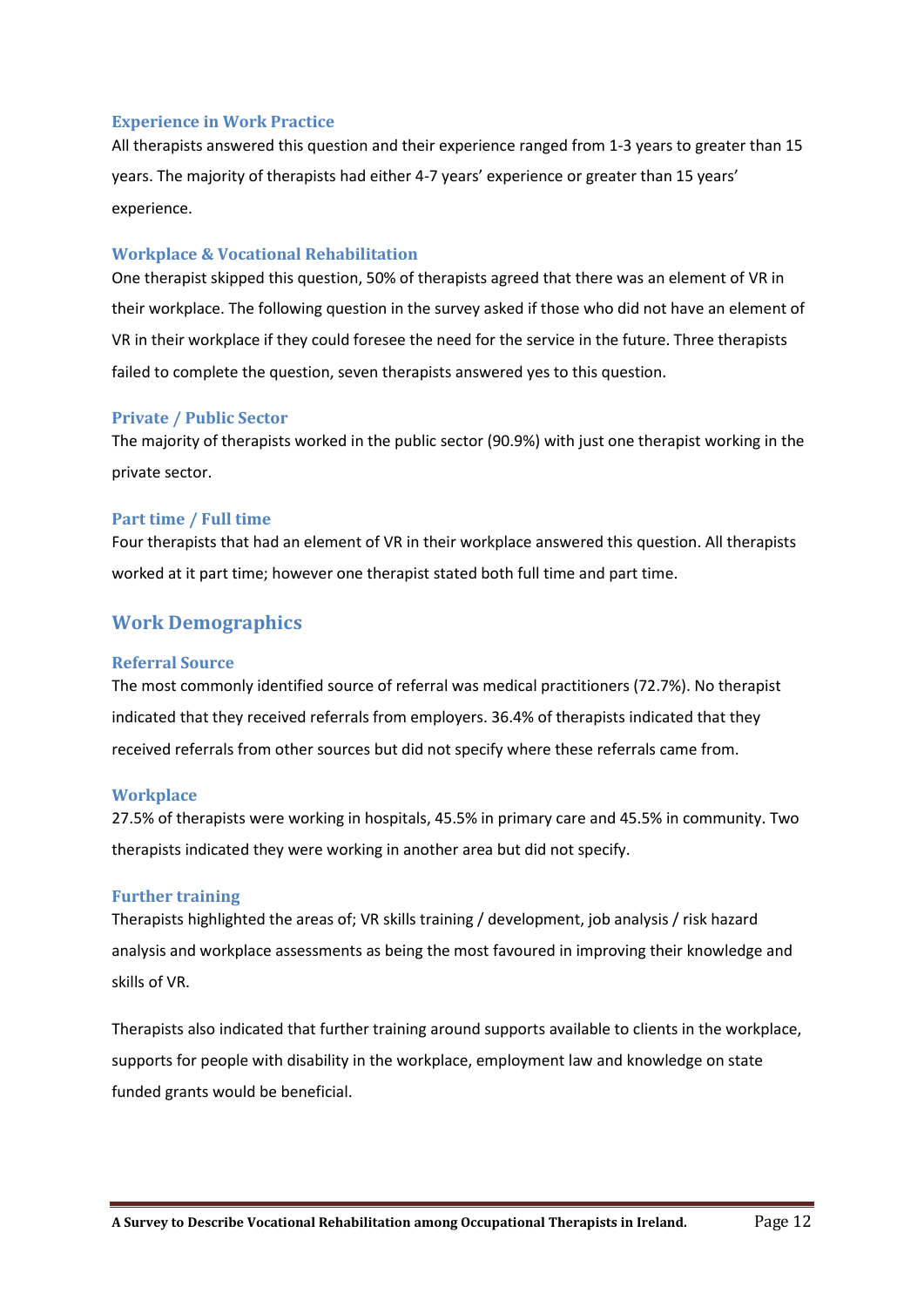#### <span id="page-11-0"></span>**Experience in Work Practice**

All therapists answered this question and their experience ranged from 1-3 years to greater than 15 years. The majority of therapists had either 4-7 years' experience or greater than 15 years' experience.

#### <span id="page-11-1"></span>**Workplace & Vocational Rehabilitation**

One therapist skipped this question, 50% of therapists agreed that there was an element of VR in their workplace. The following question in the survey asked if those who did not have an element of VR in their workplace if they could foresee the need for the service in the future. Three therapists failed to complete the question, seven therapists answered yes to this question.

#### <span id="page-11-2"></span>**Private / Public Sector**

The majority of therapists worked in the public sector (90.9%) with just one therapist working in the private sector.

#### <span id="page-11-3"></span>**Part time / Full time**

Four therapists that had an element of VR in their workplace answered this question. All therapists worked at it part time; however one therapist stated both full time and part time.

## <span id="page-11-4"></span>**Work Demographics**

#### <span id="page-11-5"></span>**Referral Source**

The most commonly identified source of referral was medical practitioners (72.7%). No therapist indicated that they received referrals from employers. 36.4% of therapists indicated that they received referrals from other sources but did not specify where these referrals came from.

#### <span id="page-11-6"></span>**Workplace**

27.5% of therapists were working in hospitals, 45.5% in primary care and 45.5% in community. Two therapists indicated they were working in another area but did not specify.

#### <span id="page-11-7"></span>**Further training**

Therapists highlighted the areas of; VR skills training / development, job analysis / risk hazard analysis and workplace assessments as being the most favoured in improving their knowledge and skills of VR.

Therapists also indicated that further training around supports available to clients in the workplace, supports for people with disability in the workplace, employment law and knowledge on state funded grants would be beneficial.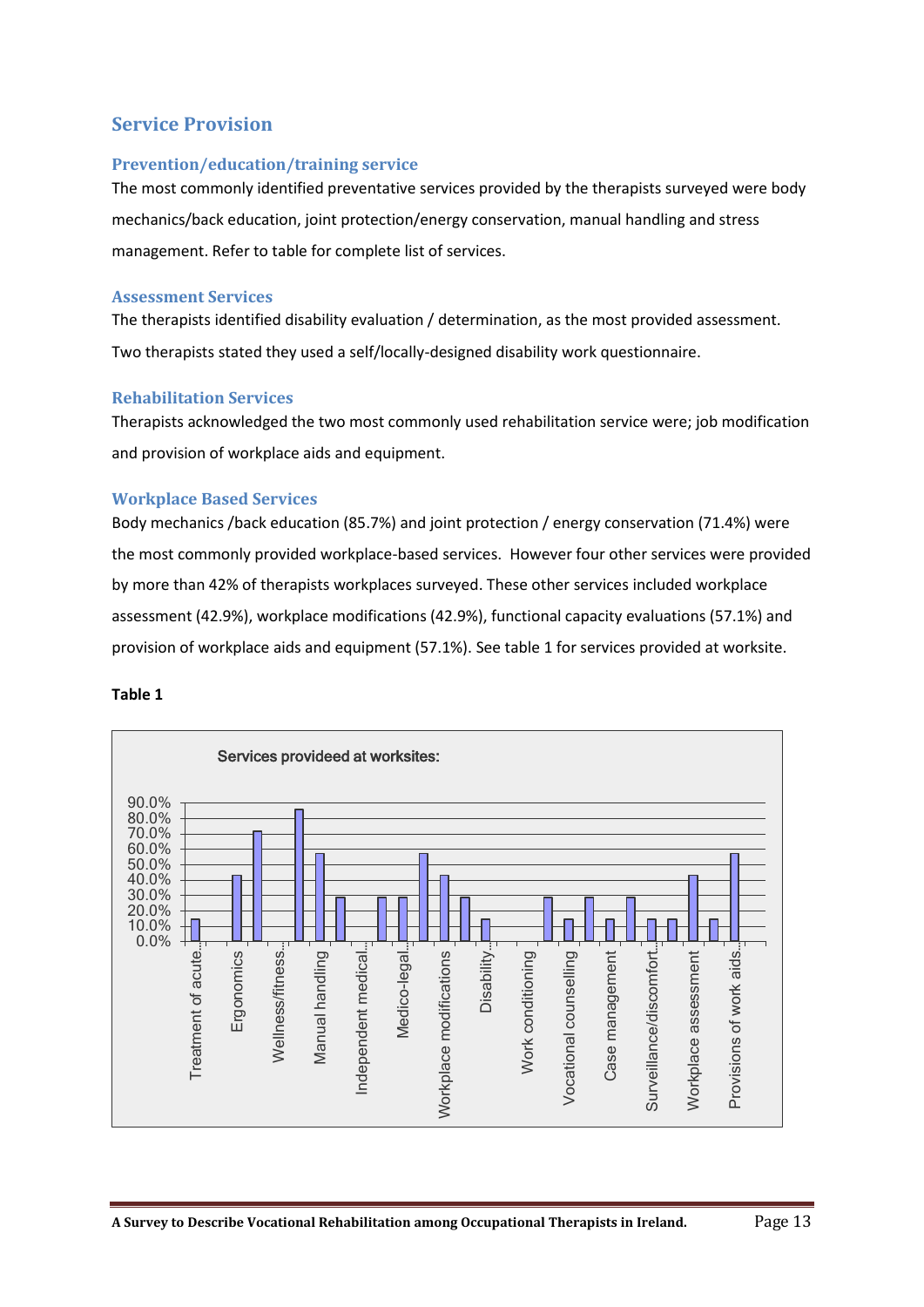## <span id="page-12-0"></span>**Service Provision**

#### <span id="page-12-1"></span>**Prevention/education/training service**

The most commonly identified preventative services provided by the therapists surveyed were body mechanics/back education, joint protection/energy conservation, manual handling and stress management. Refer to table for complete list of services.

#### <span id="page-12-2"></span>**Assessment Services**

The therapists identified disability evaluation / determination, as the most provided assessment. Two therapists stated they used a self/locally-designed disability work questionnaire.

#### <span id="page-12-3"></span>**Rehabilitation Services**

Therapists acknowledged the two most commonly used rehabilitation service were; job modification and provision of workplace aids and equipment.

#### <span id="page-12-4"></span>**Workplace Based Services**

Body mechanics /back education (85.7%) and joint protection / energy conservation (71.4%) were the most commonly provided workplace-based services. However four other services were provided by more than 42% of therapists workplaces surveyed. These other services included workplace assessment (42.9%), workplace modifications (42.9%), functional capacity evaluations (57.1%) and provision of workplace aids and equipment (57.1%). See table 1 for services provided at worksite.

#### **Table 1**

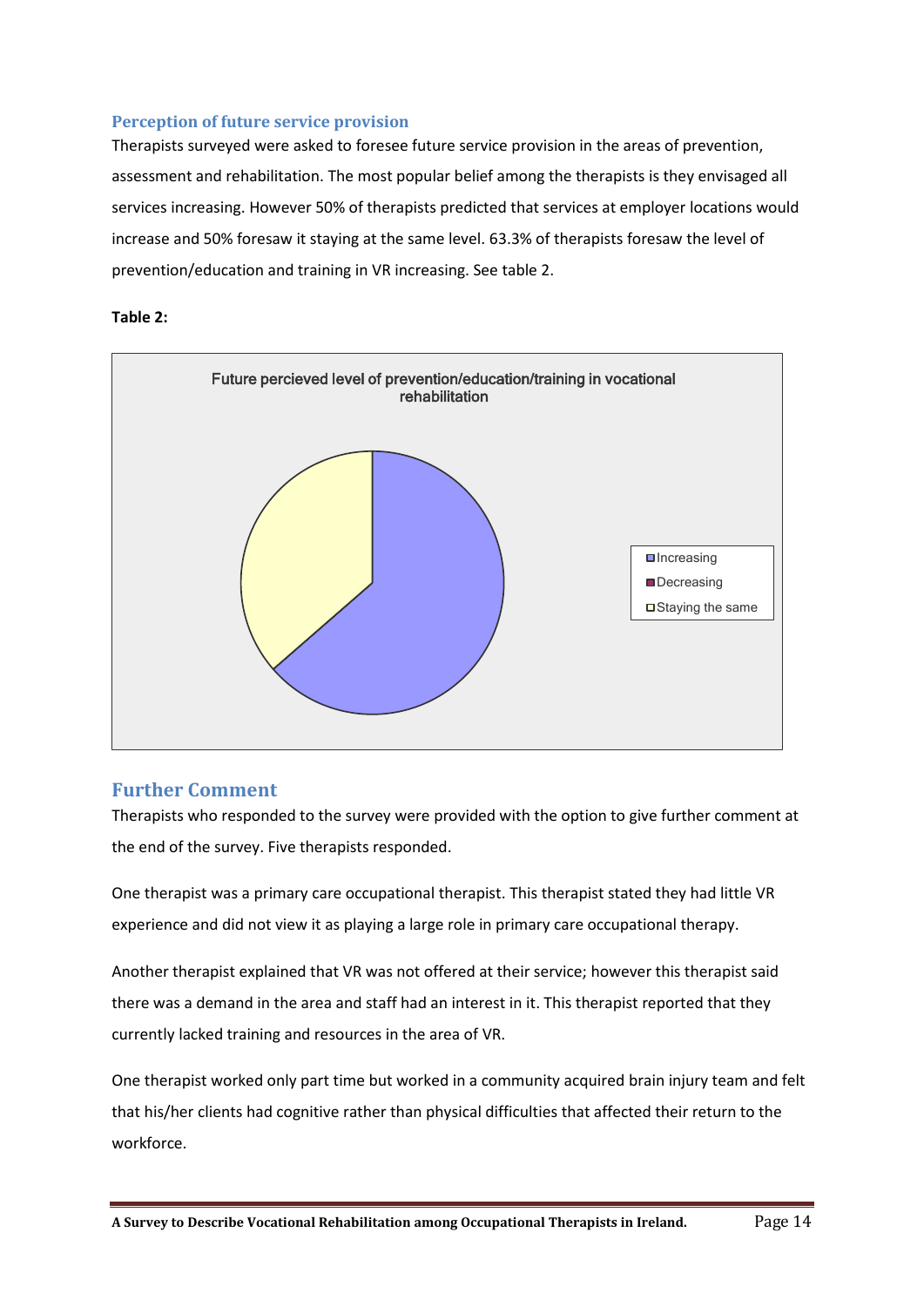#### <span id="page-13-0"></span>**Perception of future service provision**

Therapists surveyed were asked to foresee future service provision in the areas of prevention, assessment and rehabilitation. The most popular belief among the therapists is they envisaged all services increasing. However 50% of therapists predicted that services at employer locations would increase and 50% foresaw it staying at the same level. 63.3% of therapists foresaw the level of prevention/education and training in VR increasing. See table 2.





#### <span id="page-13-1"></span>**Further Comment**

Therapists who responded to the survey were provided with the option to give further comment at the end of the survey. Five therapists responded.

One therapist was a primary care occupational therapist. This therapist stated they had little VR experience and did not view it as playing a large role in primary care occupational therapy.

Another therapist explained that VR was not offered at their service; however this therapist said there was a demand in the area and staff had an interest in it. This therapist reported that they currently lacked training and resources in the area of VR.

One therapist worked only part time but worked in a community acquired brain injury team and felt that his/her clients had cognitive rather than physical difficulties that affected their return to the workforce.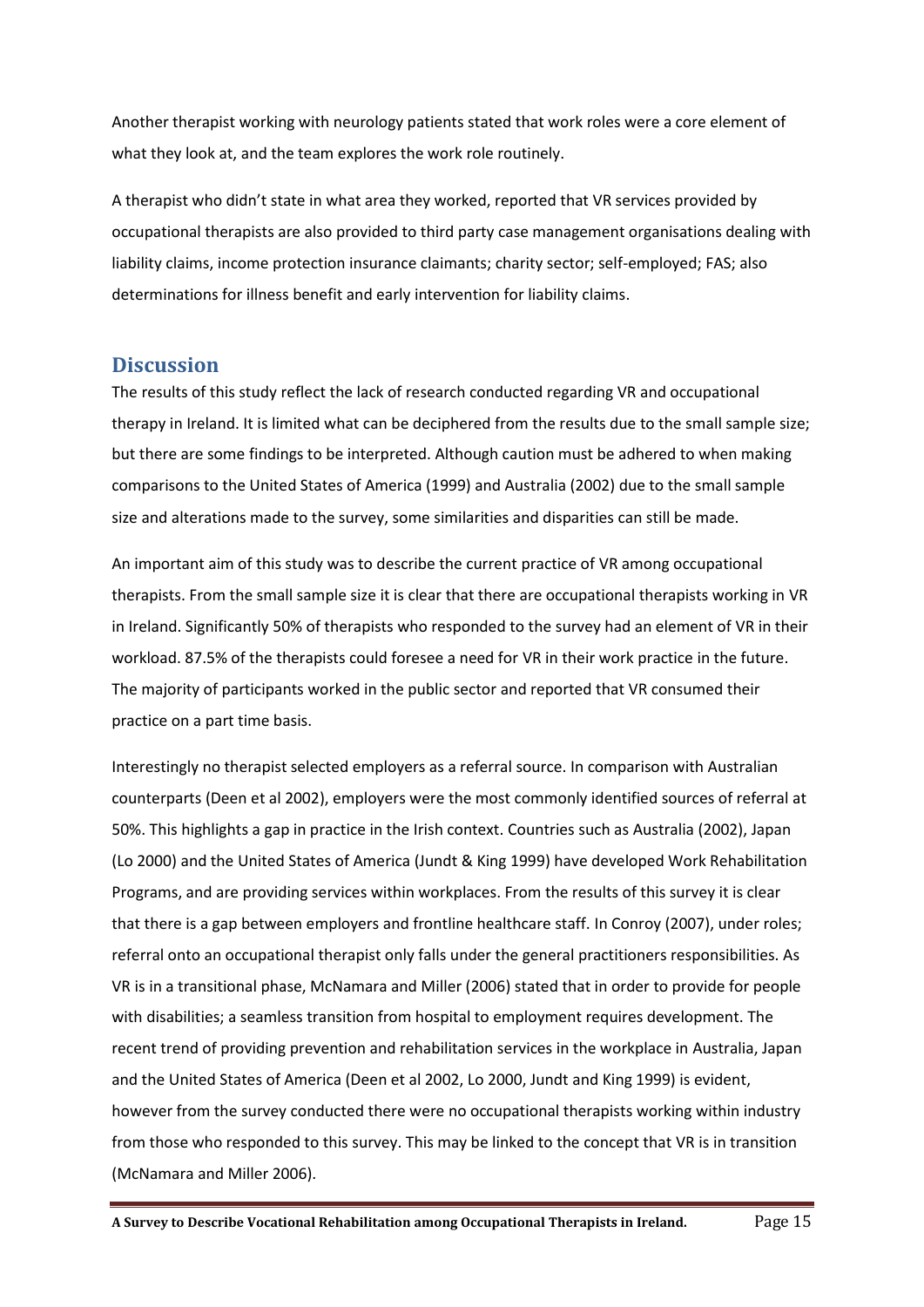Another therapist working with neurology patients stated that work roles were a core element of what they look at, and the team explores the work role routinely.

A therapist who didn't state in what area they worked, reported that VR services provided by occupational therapists are also provided to third party case management organisations dealing with liability claims, income protection insurance claimants; charity sector; self-employed; FAS; also determinations for illness benefit and early intervention for liability claims.

#### <span id="page-14-0"></span>**Discussion**

The results of this study reflect the lack of research conducted regarding VR and occupational therapy in Ireland. It is limited what can be deciphered from the results due to the small sample size; but there are some findings to be interpreted. Although caution must be adhered to when making comparisons to the United States of America (1999) and Australia (2002) due to the small sample size and alterations made to the survey, some similarities and disparities can still be made.

An important aim of this study was to describe the current practice of VR among occupational therapists. From the small sample size it is clear that there are occupational therapists working in VR in Ireland. Significantly 50% of therapists who responded to the survey had an element of VR in their workload. 87.5% of the therapists could foresee a need for VR in their work practice in the future. The majority of participants worked in the public sector and reported that VR consumed their practice on a part time basis.

Interestingly no therapist selected employers as a referral source. In comparison with Australian counterparts (Deen et al 2002), employers were the most commonly identified sources of referral at 50%. This highlights a gap in practice in the Irish context. Countries such as Australia (2002), Japan (Lo 2000) and the United States of America (Jundt & King 1999) have developed Work Rehabilitation Programs, and are providing services within workplaces. From the results of this survey it is clear that there is a gap between employers and frontline healthcare staff. In Conroy (2007), under roles; referral onto an occupational therapist only falls under the general practitioners responsibilities. As VR is in a transitional phase, McNamara and Miller (2006) stated that in order to provide for people with disabilities; a seamless transition from hospital to employment requires development. The recent trend of providing prevention and rehabilitation services in the workplace in Australia, Japan and the United States of America (Deen et al 2002, Lo 2000, Jundt and King 1999) is evident, however from the survey conducted there were no occupational therapists working within industry from those who responded to this survey. This may be linked to the concept that VR is in transition (McNamara and Miller 2006).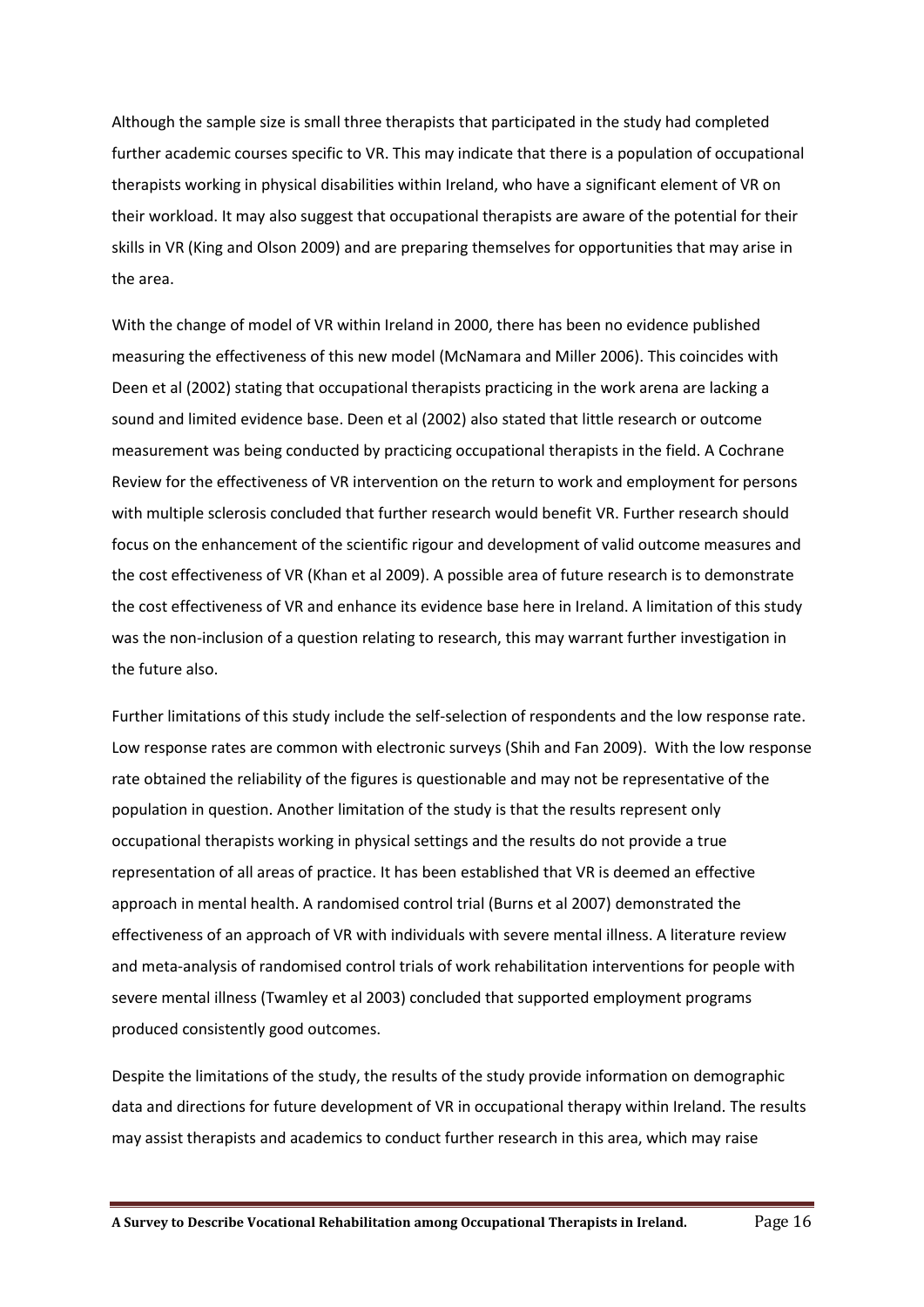Although the sample size is small three therapists that participated in the study had completed further academic courses specific to VR. This may indicate that there is a population of occupational therapists working in physical disabilities within Ireland, who have a significant element of VR on their workload. It may also suggest that occupational therapists are aware of the potential for their skills in VR (King and Olson 2009) and are preparing themselves for opportunities that may arise in the area.

With the change of model of VR within Ireland in 2000, there has been no evidence published measuring the effectiveness of this new model (McNamara and Miller 2006). This coincides with Deen et al (2002) stating that occupational therapists practicing in the work arena are lacking a sound and limited evidence base. Deen et al (2002) also stated that little research or outcome measurement was being conducted by practicing occupational therapists in the field. A Cochrane Review for the effectiveness of VR intervention on the return to work and employment for persons with multiple sclerosis concluded that further research would benefit VR. Further research should focus on the enhancement of the scientific rigour and development of valid outcome measures and the cost effectiveness of VR (Khan et al 2009). A possible area of future research is to demonstrate the cost effectiveness of VR and enhance its evidence base here in Ireland. A limitation of this study was the non-inclusion of a question relating to research, this may warrant further investigation in the future also.

Further limitations of this study include the self-selection of respondents and the low response rate. Low response rates are common with electronic surveys (Shih and Fan 2009). With the low response rate obtained the reliability of the figures is questionable and may not be representative of the population in question. Another limitation of the study is that the results represent only occupational therapists working in physical settings and the results do not provide a true representation of all areas of practice. It has been established that VR is deemed an effective approach in mental health. A randomised control trial (Burns et al 2007) demonstrated the effectiveness of an approach of VR with individuals with severe mental illness. A literature review and meta-analysis of randomised control trials of work rehabilitation interventions for people with severe mental illness (Twamley et al 2003) concluded that supported employment programs produced consistently good outcomes.

Despite the limitations of the study, the results of the study provide information on demographic data and directions for future development of VR in occupational therapy within Ireland. The results may assist therapists and academics to conduct further research in this area, which may raise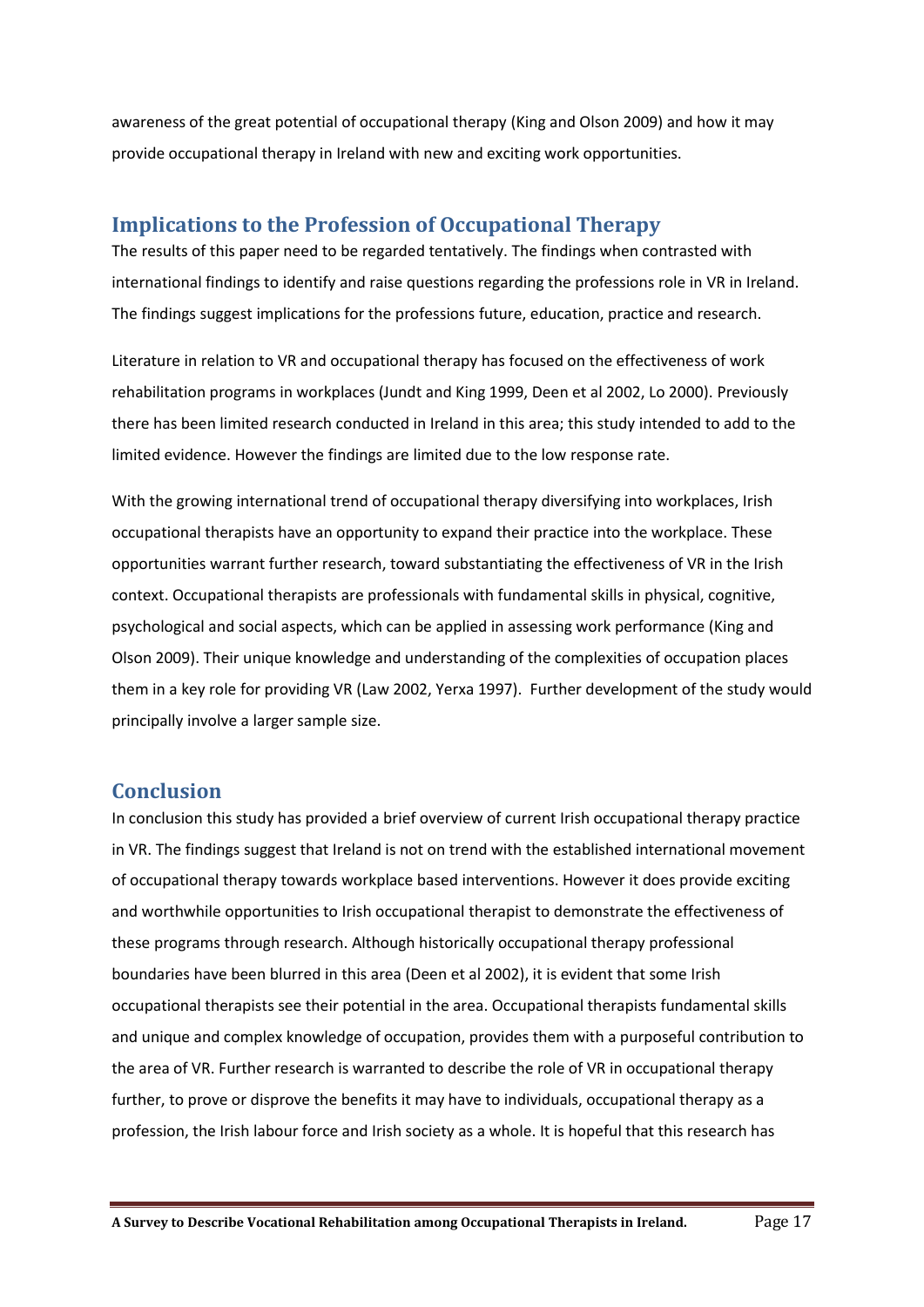awareness of the great potential of occupational therapy (King and Olson 2009) and how it may provide occupational therapy in Ireland with new and exciting work opportunities.

## <span id="page-16-0"></span>**Implications to the Profession of Occupational Therapy**

The results of this paper need to be regarded tentatively. The findings when contrasted with international findings to identify and raise questions regarding the professions role in VR in Ireland. The findings suggest implications for the professions future, education, practice and research.

Literature in relation to VR and occupational therapy has focused on the effectiveness of work rehabilitation programs in workplaces (Jundt and King 1999, Deen et al 2002, Lo 2000). Previously there has been limited research conducted in Ireland in this area; this study intended to add to the limited evidence. However the findings are limited due to the low response rate.

With the growing international trend of occupational therapy diversifying into workplaces, Irish occupational therapists have an opportunity to expand their practice into the workplace. These opportunities warrant further research, toward substantiating the effectiveness of VR in the Irish context. Occupational therapists are professionals with fundamental skills in physical, cognitive, psychological and social aspects, which can be applied in assessing work performance (King and Olson 2009). Their unique knowledge and understanding of the complexities of occupation places them in a key role for providing VR (Law 2002, Yerxa 1997). Further development of the study would principally involve a larger sample size.

## <span id="page-16-1"></span>**Conclusion**

In conclusion this study has provided a brief overview of current Irish occupational therapy practice in VR. The findings suggest that Ireland is not on trend with the established international movement of occupational therapy towards workplace based interventions. However it does provide exciting and worthwhile opportunities to Irish occupational therapist to demonstrate the effectiveness of these programs through research. Although historically occupational therapy professional boundaries have been blurred in this area (Deen et al 2002), it is evident that some Irish occupational therapists see their potential in the area. Occupational therapists fundamental skills and unique and complex knowledge of occupation, provides them with a purposeful contribution to the area of VR. Further research is warranted to describe the role of VR in occupational therapy further, to prove or disprove the benefits it may have to individuals, occupational therapy as a profession, the Irish labour force and Irish society as a whole. It is hopeful that this research has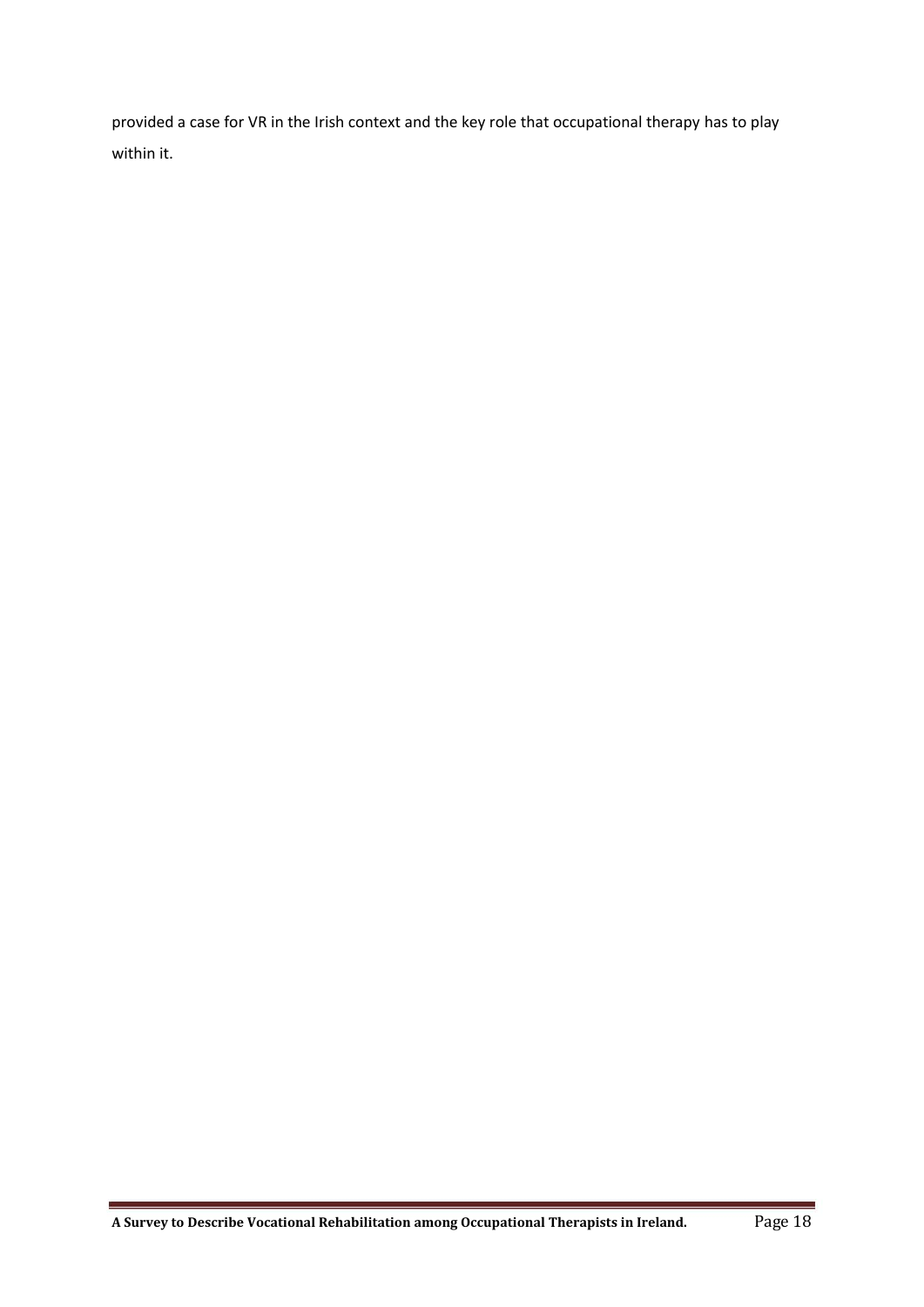provided a case for VR in the Irish context and the key role that occupational therapy has to play within it.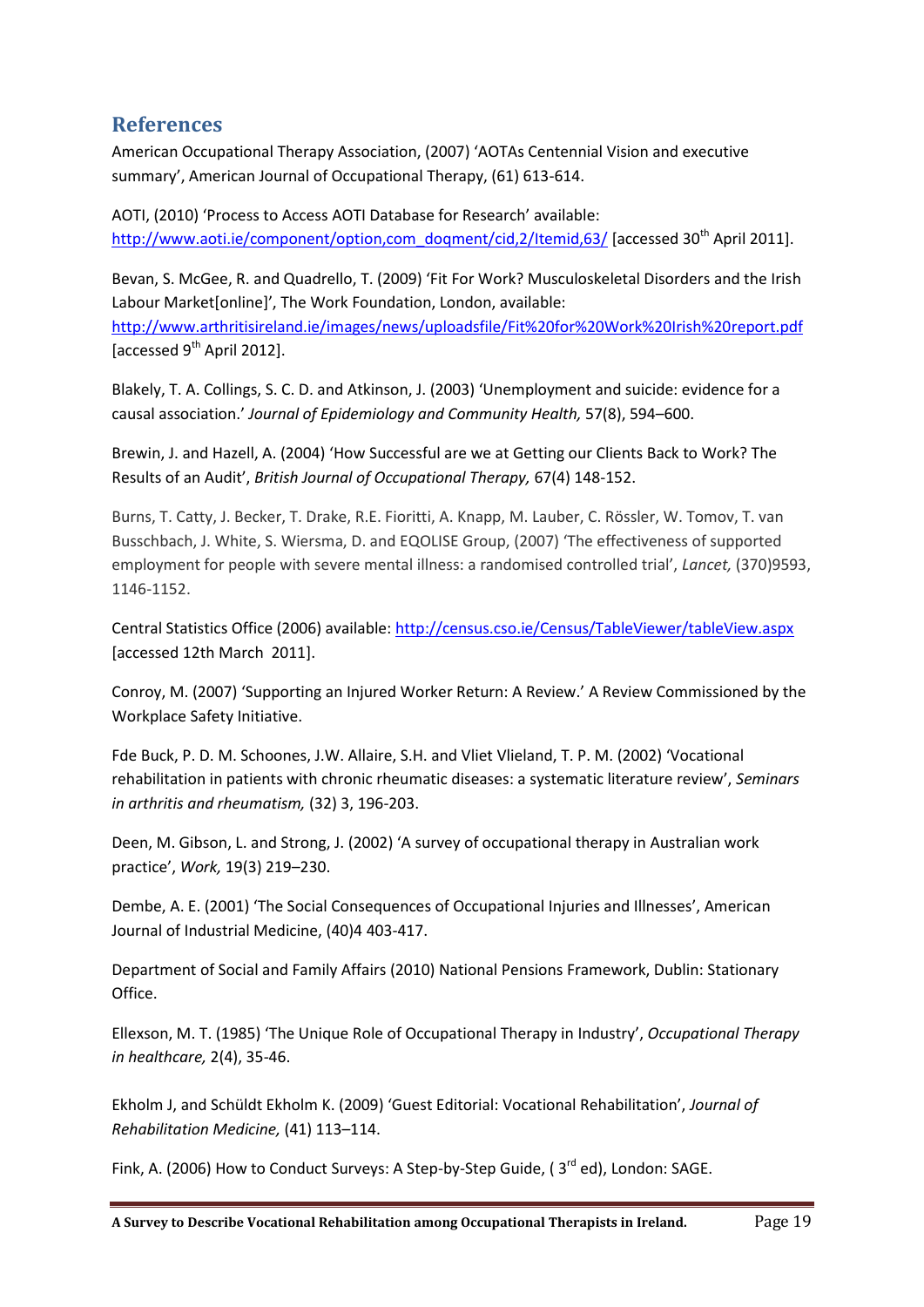## <span id="page-18-0"></span>**References**

American Occupational Therapy Association, (2007) 'AOTAs Centennial Vision and executive summary', American Journal of Occupational Therapy, (61) 613-614.

AOTI, (2010) 'Process to Access AOTI Database for Research' available: [http://www.aoti.ie/component/option,com\\_doqment/cid,2/Itemid,63/](http://www.aoti.ie/component/option,com_doqment/cid,2/Itemid,63/) [accessed 30<sup>th</sup> April 2011].

Bevan, S. McGee, R. and Quadrello, T. (2009) 'Fit For Work? Musculoskeletal Disorders and the Irish Labour Market[online]', The Work Foundation, London, available: <http://www.arthritisireland.ie/images/news/uploadsfile/Fit%20for%20Work%20Irish%20report.pdf> [accessed 9<sup>th</sup> April 2012].

Blakely, T. A. Collings, S. C. D. and Atkinson, J. (2003) 'Unemployment and suicide: evidence for a causal association.' *Journal of Epidemiology and Community Health,* 57(8), 594–600.

Brewin, J. and Hazell, A. (2004) 'How Successful are we at Getting our Clients Back to Work? The Results of an Audit', *British Journal of Occupational Therapy,* 67(4) 148-152.

Burns, T. Catty, J. Becker, T. Drake, R.E. Fioritti, A. Knapp, M. Lauber, C. Rössler, W. Tomov, T. van Busschbach, J. White, S. Wiersma, D. and EQOLISE Group, (2007) 'The effectiveness of supported employment for people with severe mental illness: a randomised controlled trial', *Lancet,* (370)9593, 1146-1152.

Central Statistics Office (2006) available: http://census.cso.ie/Census/TableViewer/tableView.aspx [accessed 12th March 2011].

Conroy, M. (2007) 'Supporting an Injured Worker Return: A Review.' A Review Commissioned by the Workplace Safety Initiative.

Fde Buck, P. D. M. Schoones, J.W. Allaire, S.H. and Vliet Vlieland, T. P. M. (2002) 'Vocational rehabilitation in patients with chronic rheumatic diseases: a systematic literature review', *Seminars in arthritis and rheumatism,* (32) 3, 196-203.

Deen, M. Gibson, L. and Strong, J. (2002) 'A survey of occupational therapy in Australian work practice', *Work,* 19(3) 219–230.

Dembe, A. E. (2001) 'The Social Consequences of Occupational Injuries and Illnesses', American Journal of Industrial Medicine, (40)4 403-417.

Department of Social and Family Affairs (2010) National Pensions Framework, Dublin: Stationary Office.

[Ellexson](http://informahealthcare.com/action/doSearch?action=runSearch&type=advanced&result=true&prevSearch=%2Bauthorsfield%3A%28Ellexson%2C+Melanie+T.%29), M. T. (1985) 'The Unique Role of Occupational Therapy in Industry', *Occupational Therapy in healthcare,* 2(4), 35-46.

Ekholm J, and Schüldt Ekholm K. (2009) 'Guest Editorial: Vocational Rehabilitation', *Journal of Rehabilitation Medicine,* (41) 113–114.

Fink, A. (2006) How to Conduct Surveys: A Step-by-Step Guide, ( $3<sup>rd</sup>$  ed), London: SAGE.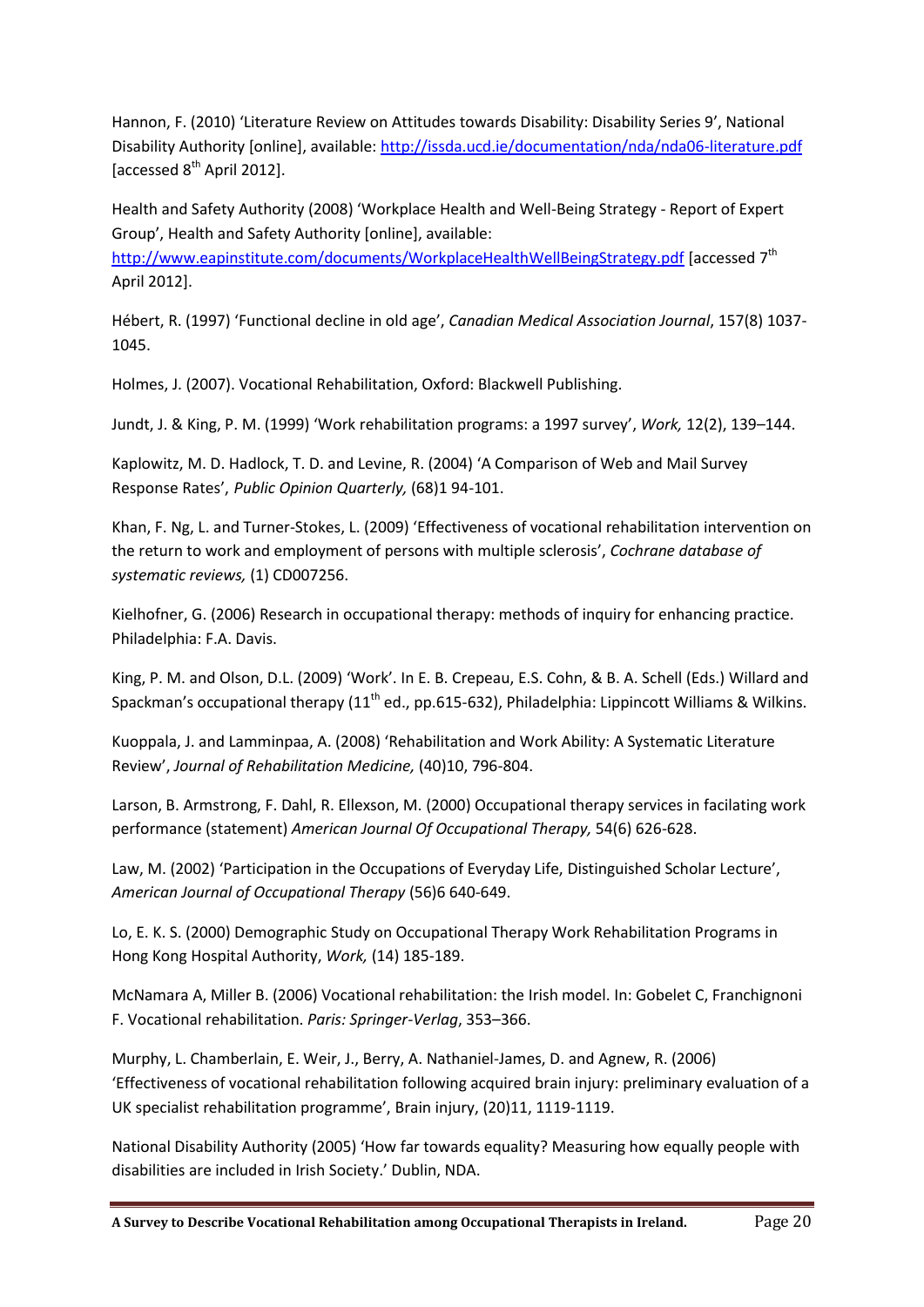Hannon, F. (2010) 'Literature Review on Attitudes towards Disability: Disability Series 9', National Disability Authority [online], available: <http://issda.ucd.ie/documentation/nda/nda06-literature.pdf> [accessed 8<sup>th</sup> April 2012].

Health and Safety Authority (2008) 'Workplace Health and Well-Being Strategy - Report of Expert Group', Health and Safety Authority [online], available:

<http://www.eapinstitute.com/documents/WorkplaceHealthWellBeingStrategy.pdf> [accessed 7<sup>th</sup> April 2012].

Hébert, R. (1997) 'Functional decline in old age', *Canadian Medical Association Journal*, 157(8) 1037- 1045.

Holmes, J. (2007). Vocational Rehabilitation, Oxford: Blackwell Publishing.

Jundt, J. & King, P. M. (1999) 'Work rehabilitation programs: a 1997 survey', *Work,* 12(2), 139–144.

Kaplowitz, M. D. Hadlock, T. D. and Levine, R. (2004) 'A Comparison of Web and Mail Survey Response Rates', *Public Opinion Quarterly,* (68)1 94-101.

Khan, F. Ng, L. and Turner-Stokes, L. (2009) 'Effectiveness of vocational rehabilitation intervention on the return to work and employment of persons with multiple sclerosis', *Cochrane database of systematic reviews,* (1) CD007256.

Kielhofner, G. (2006) Research in occupational therapy: methods of inquiry for enhancing practice. Philadelphia: F.A. Davis.

King, P. M. and Olson, D.L. (2009) 'Work'. In E. B. Crepeau, E.S. Cohn, & B. A. Schell (Eds.) Willard and Spackman's occupational therapy (11<sup>th</sup> ed., pp.615-632), Philadelphia: Lippincott Williams & Wilkins.

Kuoppala, J. and Lamminpaa, A. (2008) 'Rehabilitation and Work Ability: A Systematic Literature Review', *Journal of Rehabilitation Medicine,* (40)10, 796-804.

Larson, B. Armstrong, F. Dahl, R. Ellexson, M. (2000) Occupational therapy services in facilating work performance (statement) *[American Journal Of Occupational Therapy,](http://spogli.cib.unibo.it/cgi-ser/start/it/spogli/df-s.tcl?prog_art=7699170&language=ITALIANO&view=articoli)* 54(6) 626-628.

Law, M. (2002) 'Participation in the Occupations of Everyday Life, Distinguished Scholar Lecture', *American Journal of Occupational Therapy* (56)6 640-649.

Lo, E. K. S. (2000) Demographic Study on Occupational Therapy Work Rehabilitation Programs in Hong Kong Hospital Authority, *Work,* (14) 185-189.

McNamara A, Miller B. (2006) Vocational rehabilitation: the Irish model. In: Gobelet C, Franchignoni F. Vocational rehabilitation. *Paris: Springer-Verlag*, 353–366.

Murphy, L. Chamberlain, E. Weir, J., Berry, A. Nathaniel-James, D. and Agnew, R. (2006) 'Effectiveness of vocational rehabilitation following acquired brain injury: preliminary evaluation of a UK specialist rehabilitation programme', Brain injury, (20)11, 1119-1119.

National Disability Authority (2005) 'How far towards equality? Measuring how equally people with disabilities are included in Irish Society.' Dublin, NDA.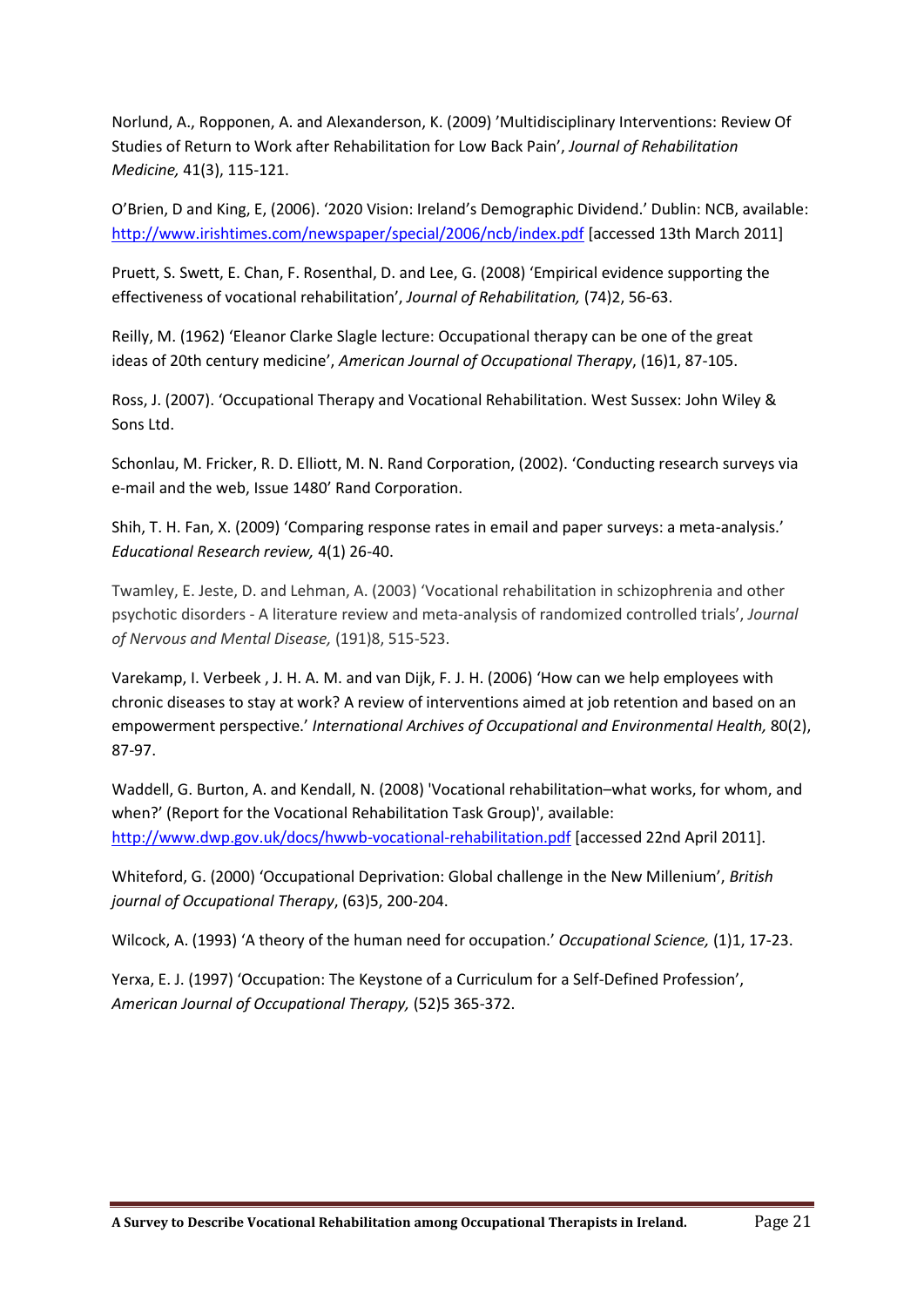Norlund, A., Ropponen, A. and Alexanderson, K. (2009) 'Multidisciplinary Interventions: Review Of Studies of Return to Work after Rehabilitation for Low Back Pain', *Journal of Rehabilitation Medicine,* 41(3), 115-121.

O'Brien, D and King, E, (2006). '2020 Vision: Ireland's Demographic Dividend.' Dublin: NCB, available: <http://www.irishtimes.com/newspaper/special/2006/ncb/index.pdf> [accessed 13th March 2011]

Pruett, S. Swett, E. Chan, F. Rosenthal, D. and Lee, G. (2008) 'Empirical evidence supporting the effectiveness of vocational rehabilitation', *Journal of Rehabilitation,* (74)2, 56-63.

Reilly, M. (1962) 'Eleanor Clarke Slagle lecture: Occupational therapy can be one of the great ideas of 20th century medicine', *American Journal of Occupational Therapy*, (16)1, 87-105.

Ross, J. (2007). 'Occupational Therapy and Vocational Rehabilitation. West Sussex: John Wiley & Sons Ltd.

Schonlau, M. Fricker, R. D. Elliott, M. N. Rand Corporation, (2002). 'Conducting research surveys via e-mail and the web, Issue 1480' Rand Corporation.

Shih, T. H. Fan, X. (2009) 'Comparing response rates in email and paper surveys: a meta-analysis.' *Educational Research review,* 4(1) 26-40.

Twamley, E. Jeste, D. and Lehman, A. (2003) 'Vocational rehabilitation in schizophrenia and other psychotic disorders - A literature review and meta-analysis of randomized controlled trials', *Journal of Nervous and Mental Disease,* (191)8, 515-523.

Varekamp, I. Verbeek , J. H. A. M. and van Dijk, F. J. H. (2006) 'How can we help employees with chronic diseases to stay at work? A review of interventions aimed at job retention and based on an empowerment perspective.' *International Archives of Occupational and Environmental Health,* 80(2), 87-97.

Waddell, G. Burton, A. and Kendall, N. (2008) 'Vocational rehabilitation–what works, for whom, and when?' (Report for the Vocational Rehabilitation Task Group)', available: <http://www.dwp.gov.uk/docs/hwwb-vocational-rehabilitation.pdf> [accessed 22nd April 2011].

Whiteford, G. (2000) 'Occupational Deprivation: Global challenge in the New Millenium', *British journal of Occupational Therapy*, (63)5, 200-204.

Wilcock, A. (1993) 'A theory of the human need for occupation.' *Occupational Science,* (1)1, 17-23.

Yerxa, E. J. (1997) 'Occupation: The Keystone of a Curriculum for a Self-Defined Profession', *American Journal of Occupational Therapy,* (52)5 365-372.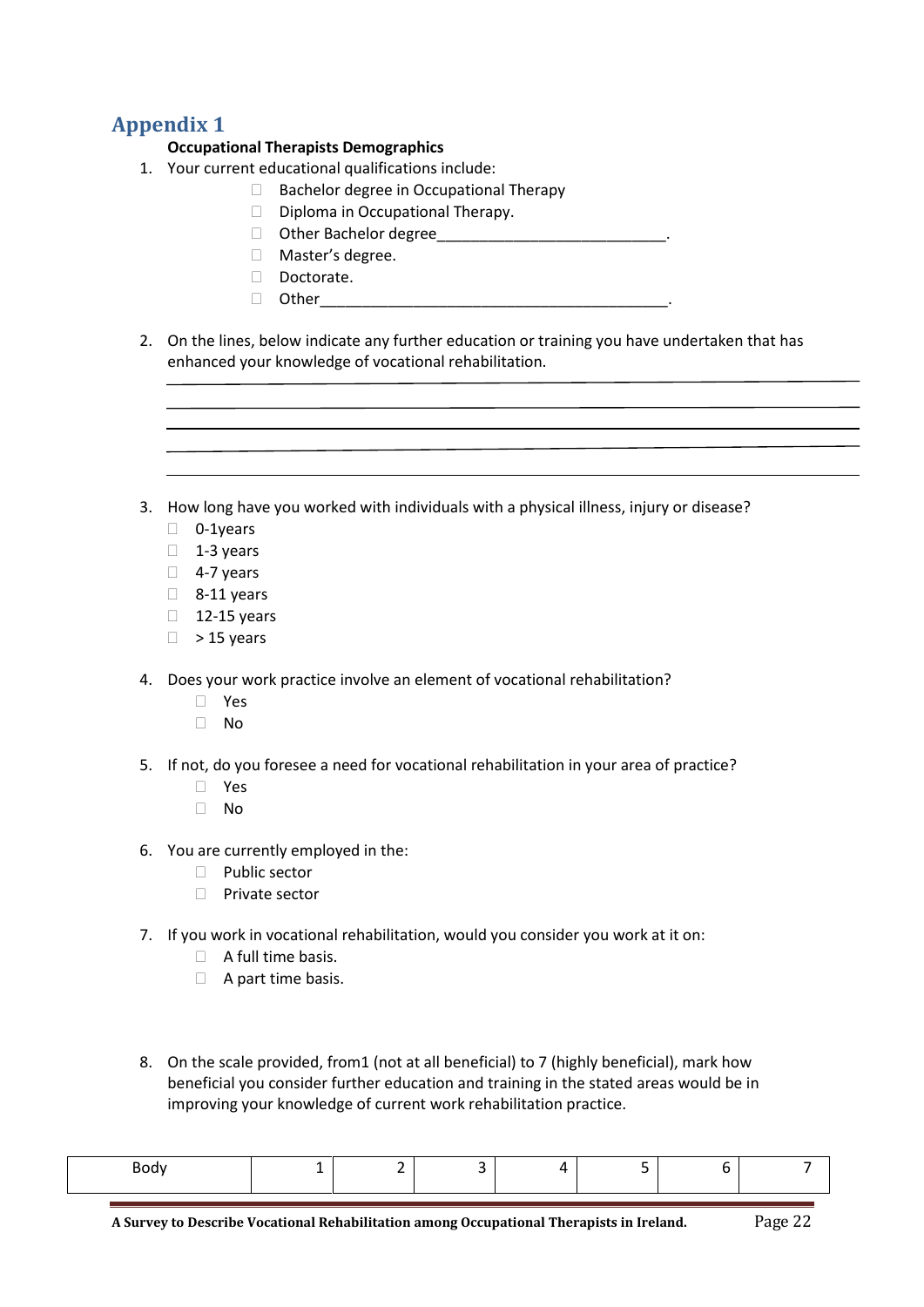## <span id="page-21-0"></span>**Appendix 1**

#### **Occupational Therapists Demographics**

- 1. Your current educational qualifications include:
	- $\Box$  Bachelor degree in Occupational Therapy
	- $\Box$  Diploma in Occupational Therapy.
	- Other Bachelor degree\_\_\_\_\_\_\_\_\_\_\_\_\_\_\_\_\_\_\_\_\_\_\_\_\_\_\_.
	- Master's degree.
	- Doctorate.
	- $\Box$  Other
- 2. On the lines, below indicate any further education or training you have undertaken that has enhanced your knowledge of vocational rehabilitation.
- 3. How long have you worked with individuals with a physical illness, injury or disease?
	- D 0-1years
	- $\Box$  1-3 years
	- $\Box$  4-7 years
	- $\Box$  8-11 years
	- $\Box$  12-15 years
	- $\Box$  > 15 years
- 4. Does your work practice involve an element of vocational rehabilitation?
	- Yes
	- $\Box$  No
- 5. If not, do you foresee a need for vocational rehabilitation in your area of practice?
	- Yes
	- $\Box$  No
- 6. You are currently employed in the:
	- $\Box$  Public sector
	- $\Box$  Private sector
- 7. If you work in vocational rehabilitation, would you consider you work at it on:
	- $\Box$  A full time basis.
	- $\Box$  A part time basis.
- 8. On the scale provided, from1 (not at all beneficial) to 7 (highly beneficial), mark how beneficial you consider further education and training in the stated areas would be in improving your knowledge of current work rehabilitation practice.

| '∩dv∶<br>◡◡ |  |  |  |  |
|-------------|--|--|--|--|
|             |  |  |  |  |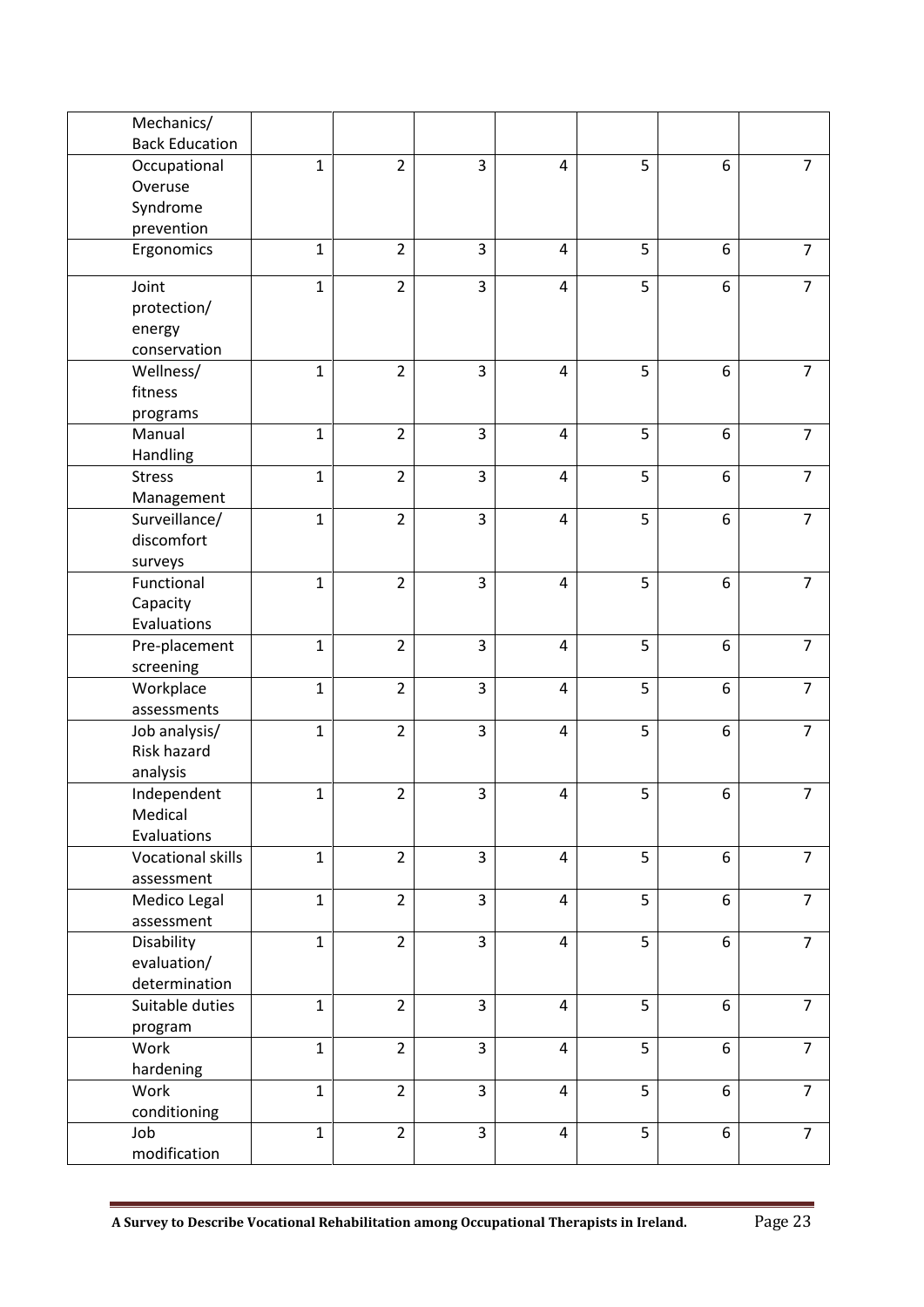| Mechanics/            |              |                |                |                |   |                  |                |
|-----------------------|--------------|----------------|----------------|----------------|---|------------------|----------------|
| <b>Back Education</b> |              |                |                |                |   |                  |                |
| Occupational          | $\mathbf{1}$ | $\overline{2}$ | 3              | 4              | 5 | 6                | $\overline{7}$ |
| Overuse               |              |                |                |                |   |                  |                |
| Syndrome              |              |                |                |                |   |                  |                |
| prevention            |              |                |                |                |   |                  |                |
| Ergonomics            | $\mathbf 1$  | $\overline{2}$ | 3              | $\overline{4}$ | 5 | 6                | $\overline{7}$ |
| Joint                 | $\mathbf{1}$ | $\overline{2}$ | 3              | $\overline{4}$ | 5 | 6                | $\overline{7}$ |
| protection/           |              |                |                |                |   |                  |                |
| energy                |              |                |                |                |   |                  |                |
| conservation          |              |                |                |                |   |                  |                |
| Wellness/             | $\mathbf{1}$ | $\overline{2}$ | $\overline{3}$ | $\overline{4}$ | 5 | 6                | $\overline{7}$ |
| fitness               |              |                |                |                |   |                  |                |
| programs              |              |                |                |                |   |                  |                |
| Manual                | $\mathbf{1}$ | $\overline{2}$ | 3              | $\overline{4}$ | 5 | 6                | $\overline{7}$ |
| Handling              |              |                |                |                |   |                  |                |
| <b>Stress</b>         | $\mathbf{1}$ | $\overline{2}$ | 3              | 4              | 5 | 6                | $\overline{7}$ |
| Management            |              |                |                |                |   |                  |                |
| Surveillance/         | $\mathbf{1}$ | $\overline{2}$ | 3              | 4              | 5 | 6                | $\overline{7}$ |
| discomfort            |              |                |                |                |   |                  |                |
| surveys               |              |                |                |                |   |                  |                |
| Functional            | $\mathbf{1}$ | $\overline{2}$ | $\overline{3}$ | $\overline{4}$ | 5 | 6                | $\overline{7}$ |
| Capacity              |              |                |                |                |   |                  |                |
| Evaluations           |              |                |                |                |   |                  |                |
| Pre-placement         | $\mathbf 1$  | $\overline{2}$ | 3              | $\overline{4}$ | 5 | 6                | $\overline{7}$ |
| screening             |              |                |                |                |   |                  |                |
| Workplace             | $\mathbf{1}$ | $\overline{2}$ | 3              | $\overline{4}$ | 5 | 6                | $\overline{7}$ |
| assessments           |              |                |                |                |   |                  |                |
| Job analysis/         | $\mathbf{1}$ | $\overline{2}$ | 3              | $\overline{4}$ | 5 | 6                | $\overline{7}$ |
| Risk hazard           |              |                |                |                |   |                  |                |
|                       |              |                |                |                |   |                  |                |
| analysis              |              | $\overline{2}$ | 3              |                | 5 | $\boldsymbol{6}$ | $\overline{7}$ |
| Independent           | $\mathbf 1$  |                |                | 4              |   |                  |                |
| Medical               |              |                |                |                |   |                  |                |
| Evaluations           |              |                |                |                |   |                  |                |
| Vocational skills     | $\mathbf{1}$ | $\overline{2}$ | $\overline{3}$ | 4              | 5 | 6                | $\overline{7}$ |
| assessment            |              |                |                |                |   |                  |                |
| Medico Legal          | $\mathbf{1}$ | $\overline{2}$ | 3              | $\overline{4}$ | 5 | 6                | $\overline{7}$ |
| assessment            |              |                |                |                |   |                  |                |
| Disability            | $\mathbf{1}$ | $\overline{2}$ | 3              | $\overline{4}$ | 5 | 6                | $\overline{7}$ |
| evaluation/           |              |                |                |                |   |                  |                |
| determination         |              |                |                |                |   |                  |                |
| Suitable duties       | $\mathbf{1}$ | $\overline{2}$ | $\overline{3}$ | $\overline{4}$ | 5 | 6                | $\overline{7}$ |
| program               |              |                |                |                |   |                  |                |
| Work                  | $\mathbf{1}$ | $\overline{2}$ | $\overline{3}$ | $\overline{4}$ | 5 | 6                | $\overline{7}$ |
| hardening             |              |                |                |                |   |                  |                |
| Work                  | $\mathbf{1}$ | $\overline{2}$ | 3              | $\overline{4}$ | 5 | 6                | $\overline{7}$ |
| conditioning          |              |                |                |                |   |                  |                |
| Job                   | $\mathbf{1}$ | $\overline{2}$ | 3              | $\overline{4}$ | 5 | 6                | $\overline{7}$ |
| modification          |              |                |                |                |   |                  |                |

**A Survey to Describe Vocational Rehabilitation among Occupational Therapists in Ireland.** Page 23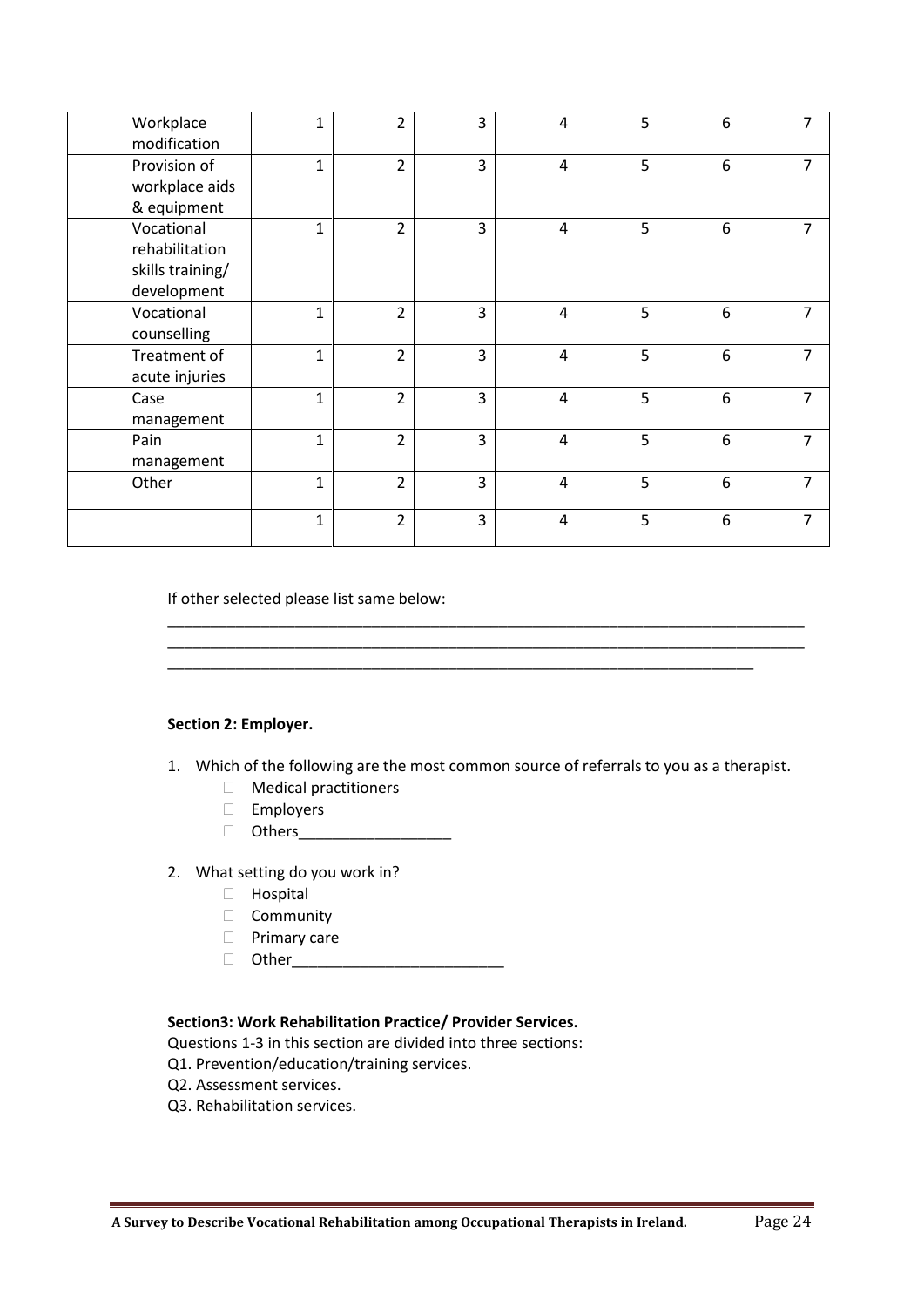| Workplace<br>modification                                       | $\mathbf{1}$ | $\overline{2}$ | 3 | 4 | 5 | 6 | $\overline{7}$ |
|-----------------------------------------------------------------|--------------|----------------|---|---|---|---|----------------|
| Provision of<br>workplace aids<br>& equipment                   | $\mathbf{1}$ | $\overline{2}$ | 3 | 4 | 5 | 6 | 7              |
| Vocational<br>rehabilitation<br>skills training/<br>development | $\mathbf{1}$ | $\overline{2}$ | 3 | 4 | 5 | 6 | $\overline{7}$ |
| Vocational<br>counselling                                       | $\mathbf{1}$ | $\overline{2}$ | 3 | 4 | 5 | 6 | $\overline{7}$ |
| Treatment of<br>acute injuries                                  | $\mathbf{1}$ | $\overline{2}$ | 3 | 4 | 5 | 6 | $\overline{7}$ |
| Case<br>management                                              | $\mathbf{1}$ | $\overline{2}$ | 3 | 4 | 5 | 6 | $\overline{7}$ |
| Pain<br>management                                              | $\mathbf{1}$ | $\overline{2}$ | 3 | 4 | 5 | 6 | $\overline{7}$ |
| Other                                                           | $\mathbf{1}$ | $\overline{2}$ | 3 | 4 | 5 | 6 | $\overline{7}$ |
|                                                                 | $\mathbf{1}$ | $\overline{2}$ | 3 | 4 | 5 | 6 | 7              |

If other selected please list same below:

#### **Section 2: Employer.**

1. Which of the following are the most common source of referrals to you as a therapist.

\_\_\_\_\_\_\_\_\_\_\_\_\_\_\_\_\_\_\_\_\_\_\_\_\_\_\_\_\_\_\_\_\_\_\_\_\_\_\_\_\_\_\_\_\_\_\_\_\_\_\_\_\_\_\_\_\_\_\_\_\_\_\_\_\_\_\_\_\_\_\_\_\_\_\_ \_\_\_\_\_\_\_\_\_\_\_\_\_\_\_\_\_\_\_\_\_\_\_\_\_\_\_\_\_\_\_\_\_\_\_\_\_\_\_\_\_\_\_\_\_\_\_\_\_\_\_\_\_\_\_\_\_\_\_\_\_\_\_\_\_\_\_\_\_\_\_\_\_\_\_

\_\_\_\_\_\_\_\_\_\_\_\_\_\_\_\_\_\_\_\_\_\_\_\_\_\_\_\_\_\_\_\_\_\_\_\_\_\_\_\_\_\_\_\_\_\_\_\_\_\_\_\_\_\_\_\_\_\_\_\_\_\_\_\_\_\_\_\_\_

- Medical practitioners
- Employers
- Others\_\_\_\_\_\_\_\_\_\_\_\_\_\_\_\_\_\_
- 2. What setting do you work in?
	- Hospital
	- **Community**
	- **D** Primary care
	- $\Box$  Other

#### **Section3: Work Rehabilitation Practice/ Provider Services.**

Questions 1-3 in this section are divided into three sections:

- Q1. Prevention/education/training services.
- Q2. Assessment services.
- Q3. Rehabilitation services.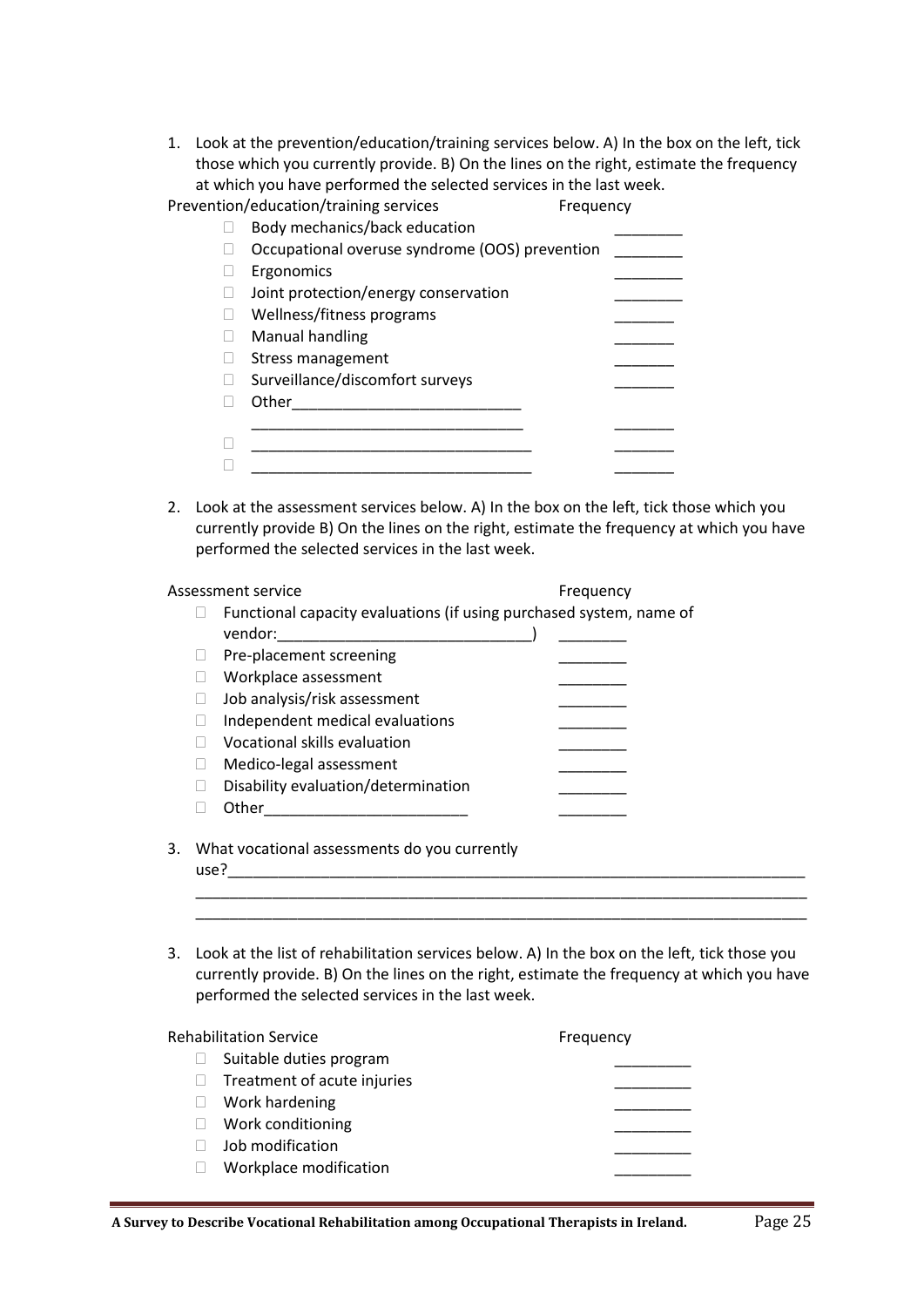1. Look at the prevention/education/training services below. A) In the box on the left, tick those which you currently provide. B) On the lines on the right, estimate the frequency at which you have performed the selected services in the last week.

| Prevention/education/training services         | Frequency |
|------------------------------------------------|-----------|
| Body mechanics/back education                  |           |
| Occupational overuse syndrome (OOS) prevention |           |
| Ergonomics                                     |           |
| Joint protection/energy conservation           |           |
| Wellness/fitness programs                      |           |
| Manual handling                                |           |
| <b>Stress management</b>                       |           |
| Surveillance/discomfort surveys                |           |
| Other                                          |           |
|                                                |           |
|                                                |           |
|                                                |           |

2. Look at the assessment services below. A) In the box on the left, tick those which you currently provide B) On the lines on the right, estimate the frequency at which you have performed the selected services in the last week.

|    |      | Assessment service                                                             | Frequency |
|----|------|--------------------------------------------------------------------------------|-----------|
|    |      | Functional capacity evaluations (if using purchased system, name of<br>vendor: |           |
|    |      | Pre-placement screening                                                        |           |
|    |      | Workplace assessment                                                           |           |
|    |      | Job analysis/risk assessment                                                   |           |
|    |      | Independent medical evaluations                                                |           |
|    |      | Vocational skills evaluation                                                   |           |
|    |      | Medico-legal assessment                                                        |           |
|    |      | Disability evaluation/determination                                            |           |
|    |      | Other                                                                          |           |
| 3. | use? | What vocational assessments do you currently                                   |           |
|    |      |                                                                                |           |
|    |      |                                                                                |           |

3. Look at the list of rehabilitation services below. A) In the box on the left, tick those you currently provide. B) On the lines on the right, estimate the frequency at which you have performed the selected services in the last week.

| <b>Rehabilitation Service</b> | Frequency |
|-------------------------------|-----------|
| Suitable duties program       |           |
| Treatment of acute injuries   |           |
| Work hardening                |           |
| Work conditioning             |           |
| Job modification              |           |
| Workplace modification        |           |
|                               |           |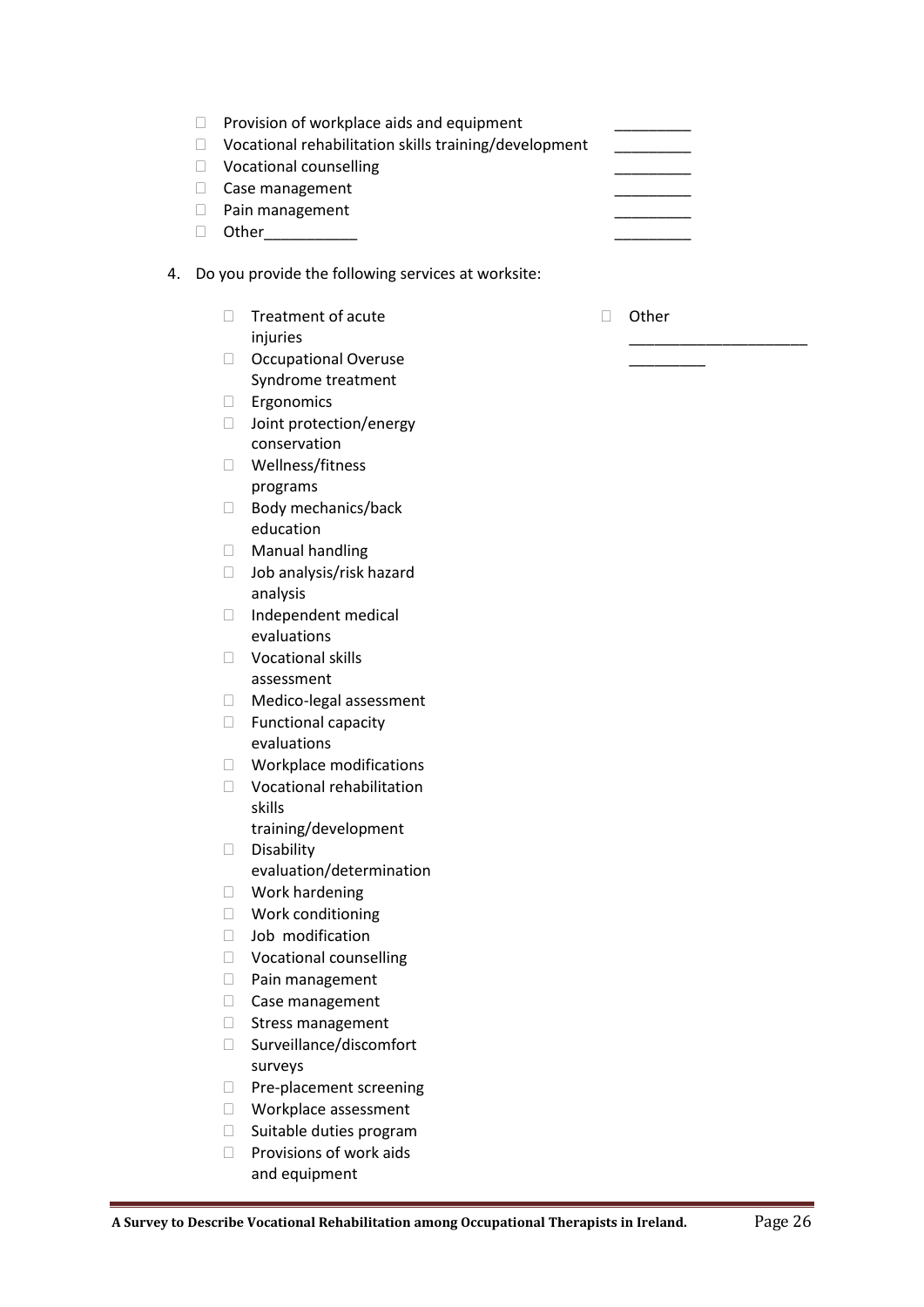|    | Provision of workplace aids and equipment             |       |
|----|-------------------------------------------------------|-------|
|    | Vocational rehabilitation skills training/development |       |
|    | Vocational counselling                                |       |
|    | Case management                                       |       |
|    | Pain management                                       |       |
|    | Other                                                 |       |
| 4. | Do you provide the following services at worksite:    |       |
|    | Treatment of acute<br>injuries                        | Other |

\_\_\_\_\_\_\_\_\_

 Occupational Overuse Syndrome treatment

□ Joint protection/energy conservation Wellness/fitness programs

 $\Box$  Body mechanics/back

□ Job analysis/risk hazard

 $\Box$  Independent medical evaluations □ Vocational skills assessment

□ Medico-legal assessment  $\Box$  Functional capacity evaluations

 Workplace modifications Vocational rehabilitation

training/development

evaluation/determination

education Manual handling

analysis

skills

Disability

 Work hardening □ Work conditioning  $\Box$  Job modification Vocational counselling □ Pain management Case management  $\Box$  Stress management □ Surveillance/discomfort

surveys

**D** Pre-placement screening Workplace assessment  $\Box$  Suitable duties program  $\Box$  Provisions of work aids and equipment

**Ergonomics** 

**A Survey to Describe Vocational Rehabilitation among Occupational Therapists in Ireland.** Page 26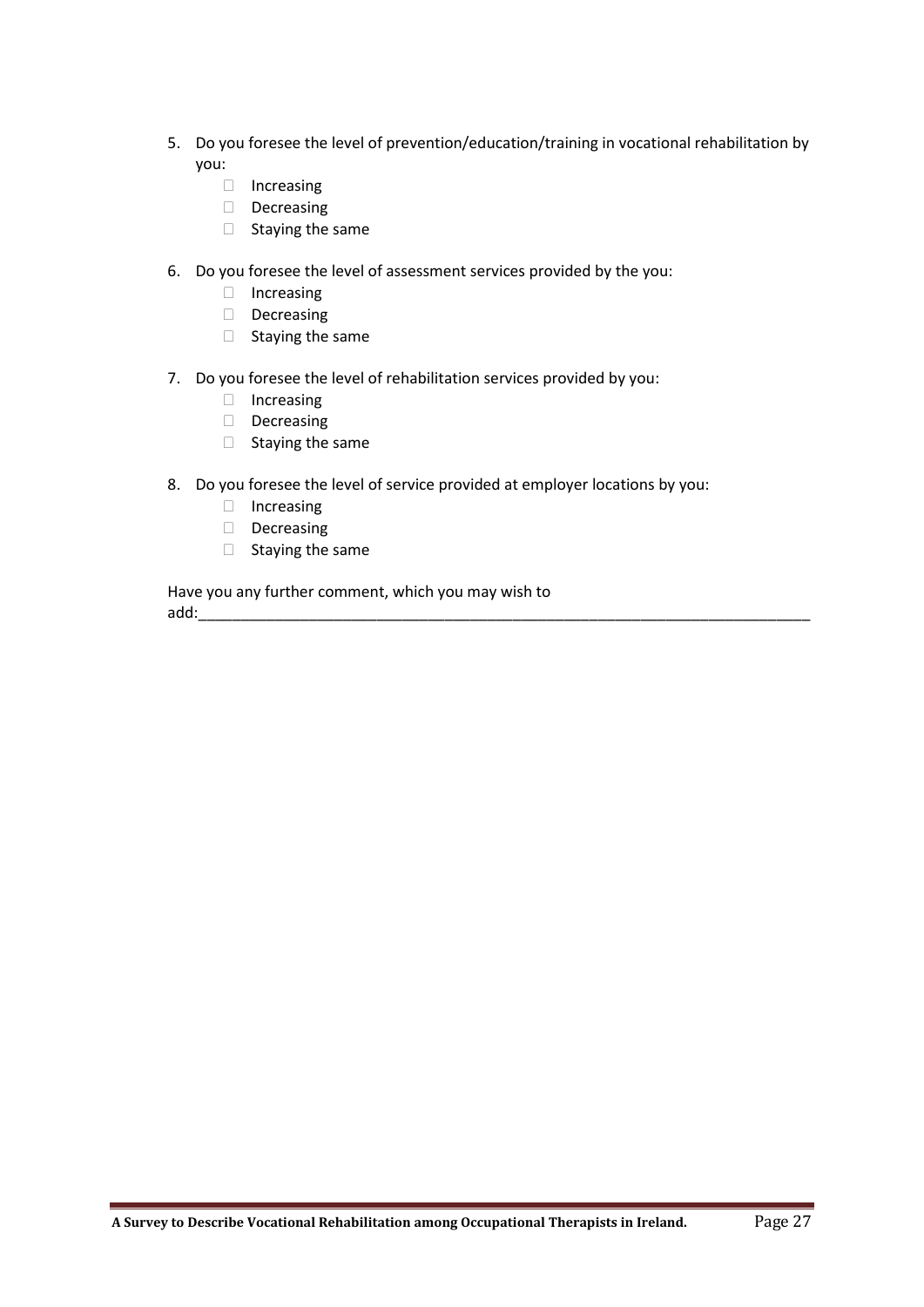- 5. Do you foresee the level of prevention/education/training in vocational rehabilitation by you:
	- Increasing
	- Decreasing
	- $\Box$  Staying the same
- 6. Do you foresee the level of assessment services provided by the you:
	- □ Increasing
	- Decreasing
	- $\Box$  Staying the same
- 7. Do you foresee the level of rehabilitation services provided by you:
	- Increasing
	- Decreasing
	- $\Box$  Staying the same
- 8. Do you foresee the level of service provided at employer locations by you:
	- Increasing
	- Decreasing
	- $\Box$  Staying the same

Have you any further comment, which you may wish to add: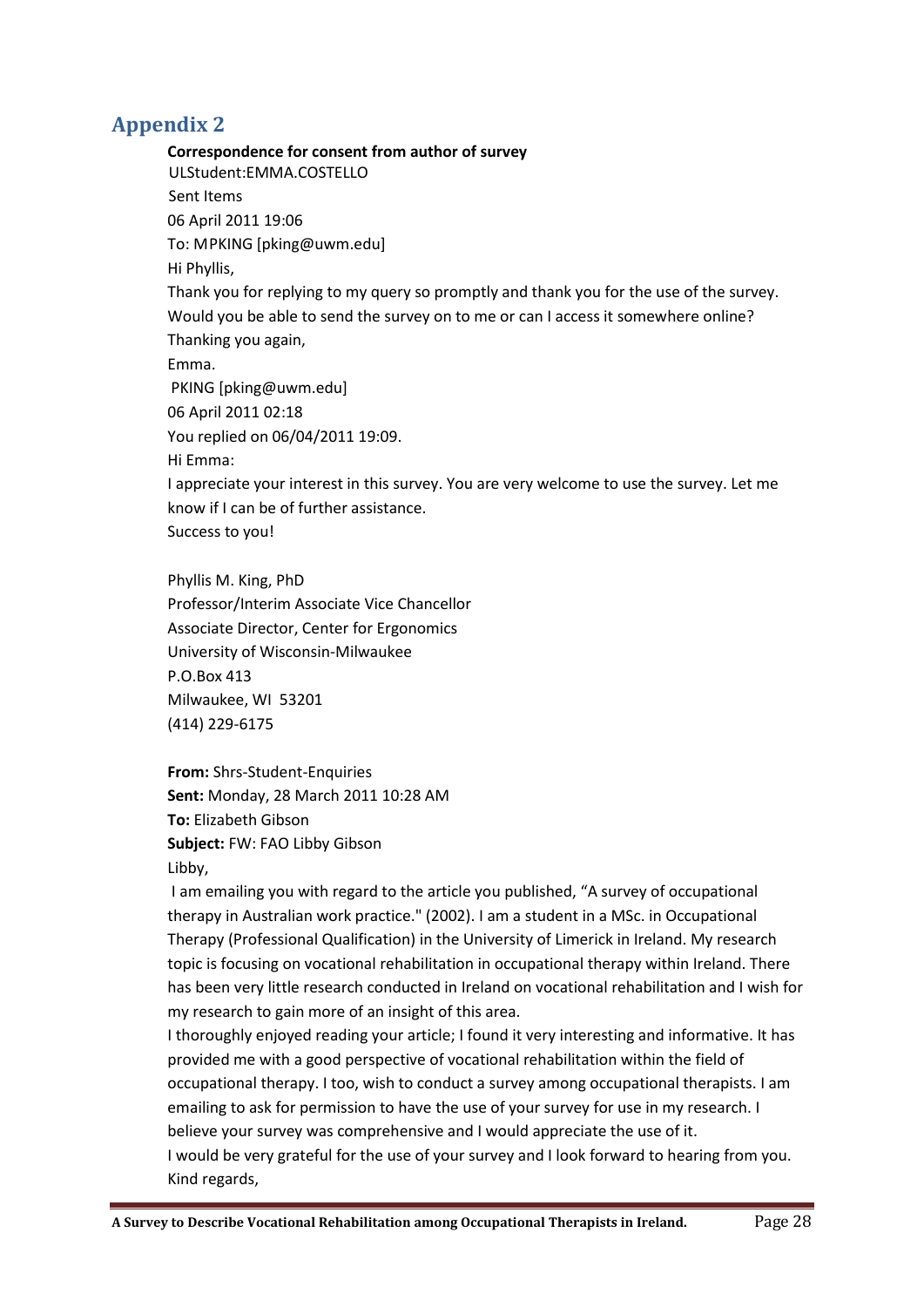## <span id="page-27-0"></span>**Appendix 2**

**Correspondence for consent from author of survey** ULStudent:EMMA.COSTELLO Sent Items 06 April 2011 19:06 To: MPKING [pking@uwm.edu] Hi Phyllis, Thank you for replying to my query so promptly and thank you for the use of the survey. Would you be able to send the survey on to me or can I access it somewhere online? Thanking you again, Emma. PKING [pking@uwm.edu] 06 April 2011 02:18 You replied on 06/04/2011 19:09. Hi Emma: I appreciate your interest in this survey. You are very welcome to use the survey. Let me know if I can be of further assistance. Success to you!

Phyllis M. King, PhD Professor/Interim Associate Vice Chancellor Associate Director, Center for Ergonomics University of Wisconsin-Milwaukee P.O.Box 413 Milwaukee, WI 53201 (414) 229-6175

**From:** Shrs-Student-Enquiries **Sent:** Monday, 28 March 2011 10:28 AM **To:** Elizabeth Gibson **Subject:** FW: FAO Libby Gibson Libby,

I am emailing you with regard to the article you published, "A survey of occupational therapy in Australian work practice." (2002). I am a student in a MSc. in Occupational Therapy (Professional Qualification) in the University of Limerick in Ireland. My research topic is focusing on vocational rehabilitation in occupational therapy within Ireland. There has been very little research conducted in Ireland on vocational rehabilitation and I wish for my research to gain more of an insight of this area.

I thoroughly enjoyed reading your article; I found it very interesting and informative. It has provided me with a good perspective of vocational rehabilitation within the field of occupational therapy. I too, wish to conduct a survey among occupational therapists. I am emailing to ask for permission to have the use of your survey for use in my research. I believe your survey was comprehensive and I would appreciate the use of it. I would be very grateful for the use of your survey and I look forward to hearing from you. Kind regards,